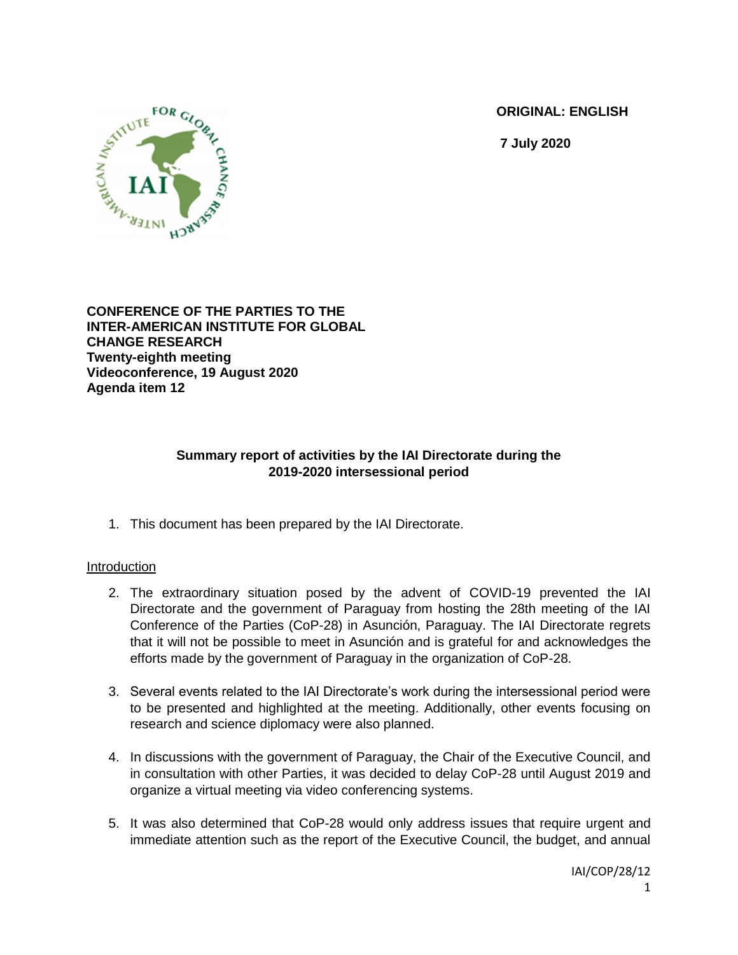**ORIGINAL: ENGLISH**

**7 July 2020**



**CONFERENCE OF THE PARTIES TO THE INTER-AMERICAN INSTITUTE FOR GLOBAL CHANGE RESEARCH Twenty-eighth meeting Videoconference, 19 August 2020 Agenda item 12**

### **Summary report of activities by the IAI Directorate during the 2019-2020 intersessional period**

1. This document has been prepared by the IAI Directorate.

### Introduction

- 2. The extraordinary situation posed by the advent of COVID-19 prevented the IAI Directorate and the government of Paraguay from hosting the 28th meeting of the IAI Conference of the Parties (CoP-28) in Asunción, Paraguay. The IAI Directorate regrets that it will not be possible to meet in Asunción and is grateful for and acknowledges the efforts made by the government of Paraguay in the organization of CoP-28.
- 3. Several events related to the IAI Directorate's work during the intersessional period were to be presented and highlighted at the meeting. Additionally, other events focusing on research and science diplomacy were also planned.
- 4. In discussions with the government of Paraguay, the Chair of the Executive Council, and in consultation with other Parties, it was decided to delay CoP-28 until August 2019 and organize a virtual meeting via video conferencing systems.
- 5. It was also determined that CoP-28 would only address issues that require urgent and immediate attention such as the report of the Executive Council, the budget, and annual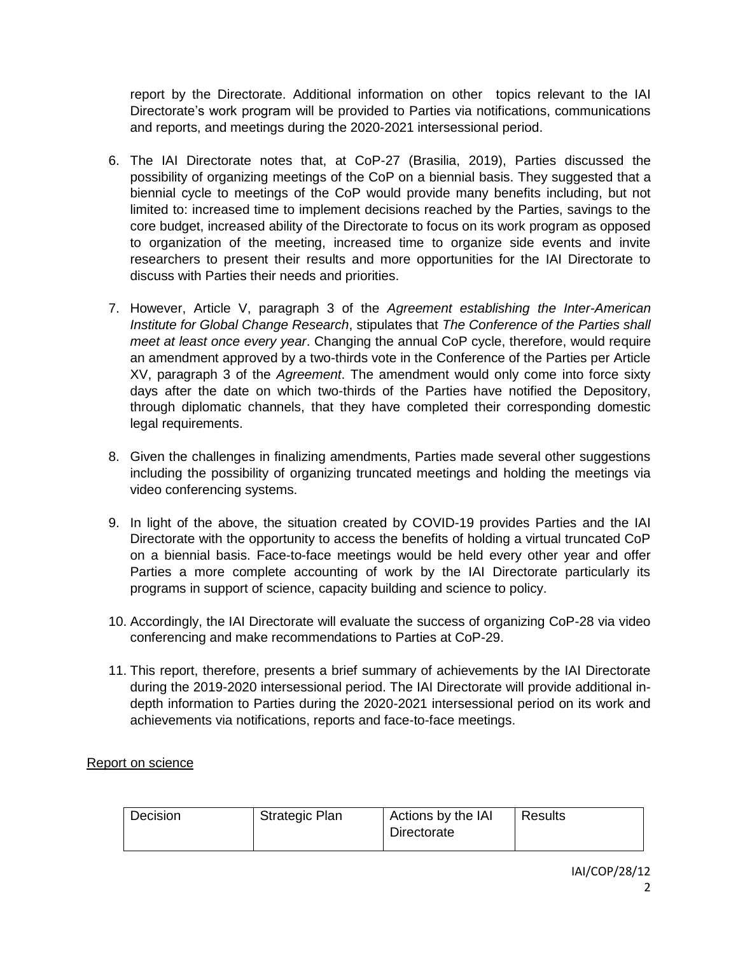report by the Directorate. Additional information on other topics relevant to the IAI Directorate's work program will be provided to Parties via notifications, communications and reports, and meetings during the 2020-2021 intersessional period.

- 6. The IAI Directorate notes that, at CoP-27 (Brasilia, 2019), Parties discussed the possibility of organizing meetings of the CoP on a biennial basis. They suggested that a biennial cycle to meetings of the CoP would provide many benefits including, but not limited to: increased time to implement decisions reached by the Parties, savings to the core budget, increased ability of the Directorate to focus on its work program as opposed to organization of the meeting, increased time to organize side events and invite researchers to present their results and more opportunities for the IAI Directorate to discuss with Parties their needs and priorities.
- 7. However, Article V, paragraph 3 of the *Agreement establishing the Inter-American Institute for Global Change Research*, stipulates that *The Conference of the Parties shall meet at least once every year*. Changing the annual CoP cycle, therefore, would require an amendment approved by a two-thirds vote in the Conference of the Parties per Article XV, paragraph 3 of the *Agreement*. The amendment would only come into force sixty days after the date on which two-thirds of the Parties have notified the Depository, through diplomatic channels, that they have completed their corresponding domestic legal requirements.
- 8. Given the challenges in finalizing amendments, Parties made several other suggestions including the possibility of organizing truncated meetings and holding the meetings via video conferencing systems.
- 9. In light of the above, the situation created by COVID-19 provides Parties and the IAI Directorate with the opportunity to access the benefits of holding a virtual truncated CoP on a biennial basis. Face-to-face meetings would be held every other year and offer Parties a more complete accounting of work by the IAI Directorate particularly its programs in support of science, capacity building and science to policy.
- 10. Accordingly, the IAI Directorate will evaluate the success of organizing CoP-28 via video conferencing and make recommendations to Parties at CoP-29.
- 11. This report, therefore, presents a brief summary of achievements by the IAI Directorate during the 2019-2020 intersessional period. The IAI Directorate will provide additional indepth information to Parties during the 2020-2021 intersessional period on its work and achievements via notifications, reports and face-to-face meetings.

### Report on science

| Decision | <b>Strategic Plan</b> | Actions by the IAI<br>Directorate | Results |
|----------|-----------------------|-----------------------------------|---------|
|----------|-----------------------|-----------------------------------|---------|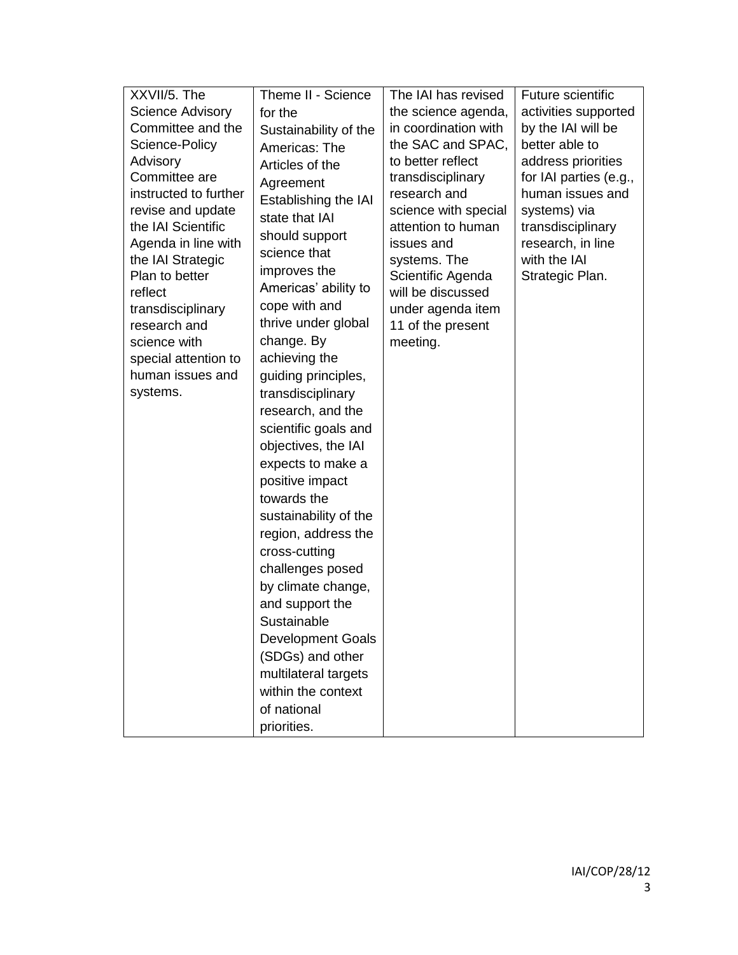| XXVII/5. The              | Theme II - Science       | The IAI has revised                    | Future scientific      |
|---------------------------|--------------------------|----------------------------------------|------------------------|
| <b>Science Advisory</b>   | for the                  | the science agenda,                    | activities supported   |
| Committee and the         | Sustainability of the    | in coordination with                   | by the IAI will be     |
| Science-Policy            | Americas: The            | the SAC and SPAC,                      | better able to         |
| Advisory                  | Articles of the          | to better reflect                      | address priorities     |
| Committee are             | Agreement                | transdisciplinary                      | for IAI parties (e.g., |
| instructed to further     | Establishing the IAI     | research and                           | human issues and       |
| revise and update         | state that IAI           | science with special                   | systems) via           |
| the IAI Scientific        | should support           | attention to human                     | transdisciplinary      |
| Agenda in line with       | science that             | issues and                             | research, in line      |
| the IAI Strategic         | improves the             | systems. The                           | with the IAI           |
| Plan to better<br>reflect | Americas' ability to     | Scientific Agenda<br>will be discussed | Strategic Plan.        |
| transdisciplinary         | cope with and            | under agenda item                      |                        |
| research and              | thrive under global      | 11 of the present                      |                        |
| science with              | change. By               | meeting.                               |                        |
| special attention to      | achieving the            |                                        |                        |
| human issues and          | guiding principles,      |                                        |                        |
| systems.                  | transdisciplinary        |                                        |                        |
|                           | research, and the        |                                        |                        |
|                           | scientific goals and     |                                        |                        |
|                           | objectives, the IAI      |                                        |                        |
|                           | expects to make a        |                                        |                        |
|                           | positive impact          |                                        |                        |
|                           | towards the              |                                        |                        |
|                           | sustainability of the    |                                        |                        |
|                           | region, address the      |                                        |                        |
|                           | cross-cutting            |                                        |                        |
|                           | challenges posed         |                                        |                        |
|                           | by climate change,       |                                        |                        |
|                           | and support the          |                                        |                        |
|                           | Sustainable              |                                        |                        |
|                           | <b>Development Goals</b> |                                        |                        |
|                           | (SDGs) and other         |                                        |                        |
|                           | multilateral targets     |                                        |                        |
|                           | within the context       |                                        |                        |
|                           | of national              |                                        |                        |
|                           | priorities.              |                                        |                        |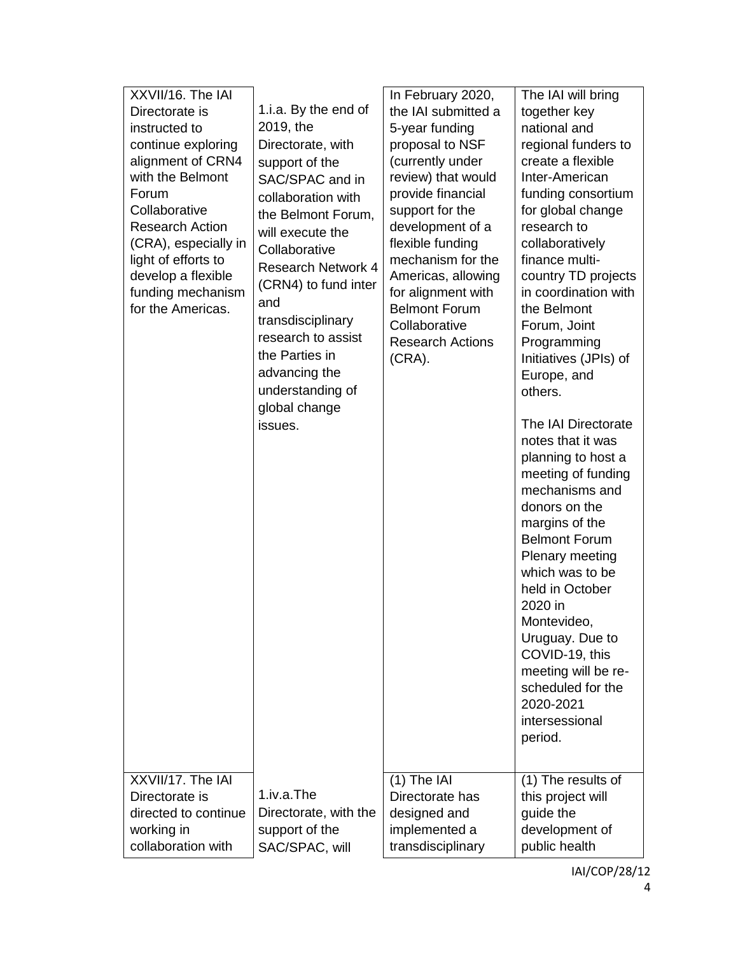| XXVII/16. The IAI      |                           | In February 2020,       | The IAI will bring    |
|------------------------|---------------------------|-------------------------|-----------------------|
| Directorate is         | 1.i.a. By the end of      | the IAI submitted a     | together key          |
| instructed to          | 2019, the                 | 5-year funding          | national and          |
| continue exploring     | Directorate, with         | proposal to NSF         | regional funders to   |
| alignment of CRN4      | support of the            | (currently under        | create a flexible     |
| with the Belmont       | SAC/SPAC and in           | review) that would      | Inter-American        |
| Forum                  | collaboration with        | provide financial       | funding consortium    |
| Collaborative          | the Belmont Forum,        | support for the         | for global change     |
| <b>Research Action</b> | will execute the          | development of a        | research to           |
| (CRA), especially in   | Collaborative             | flexible funding        | collaboratively       |
| light of efforts to    | <b>Research Network 4</b> | mechanism for the       | finance multi-        |
| develop a flexible     | (CRN4) to fund inter      | Americas, allowing      | country TD projects   |
| funding mechanism      | and                       | for alignment with      | in coordination with  |
| for the Americas.      | transdisciplinary         | <b>Belmont Forum</b>    | the Belmont           |
|                        | research to assist        | Collaborative           | Forum, Joint          |
|                        | the Parties in            | <b>Research Actions</b> | Programming           |
|                        | advancing the             | $(CRA)$ .               | Initiatives (JPIs) of |
|                        | understanding of          |                         | Europe, and           |
|                        |                           |                         | others.               |
|                        | global change             |                         | The IAI Directorate   |
|                        | issues.                   |                         | notes that it was     |
|                        |                           |                         | planning to host a    |
|                        |                           |                         | meeting of funding    |
|                        |                           |                         | mechanisms and        |
|                        |                           |                         | donors on the         |
|                        |                           |                         | margins of the        |
|                        |                           |                         | <b>Belmont Forum</b>  |
|                        |                           |                         | Plenary meeting       |
|                        |                           |                         | which was to be       |
|                        |                           |                         | held in October       |
|                        |                           |                         | 2020 in               |
|                        |                           |                         | Montevideo,           |
|                        |                           |                         | Uruguay. Due to       |
|                        |                           |                         | COVID-19, this        |
|                        |                           |                         | meeting will be re-   |
|                        |                           |                         | scheduled for the     |
|                        |                           |                         | 2020-2021             |
|                        |                           |                         | intersessional        |
|                        |                           |                         | period.               |
|                        |                           |                         |                       |
| XXVII/17. The IAI      |                           | $(1)$ The IAI           | $(1)$ The results of  |
| Directorate is         | 1.iv.a.The                | Directorate has         | this project will     |
| directed to continue   | Directorate, with the     | designed and            | guide the             |
| working in             | support of the            | implemented a           | development of        |
| collaboration with     | SAC/SPAC, will            | transdisciplinary       | public health         |
|                        |                           |                         |                       |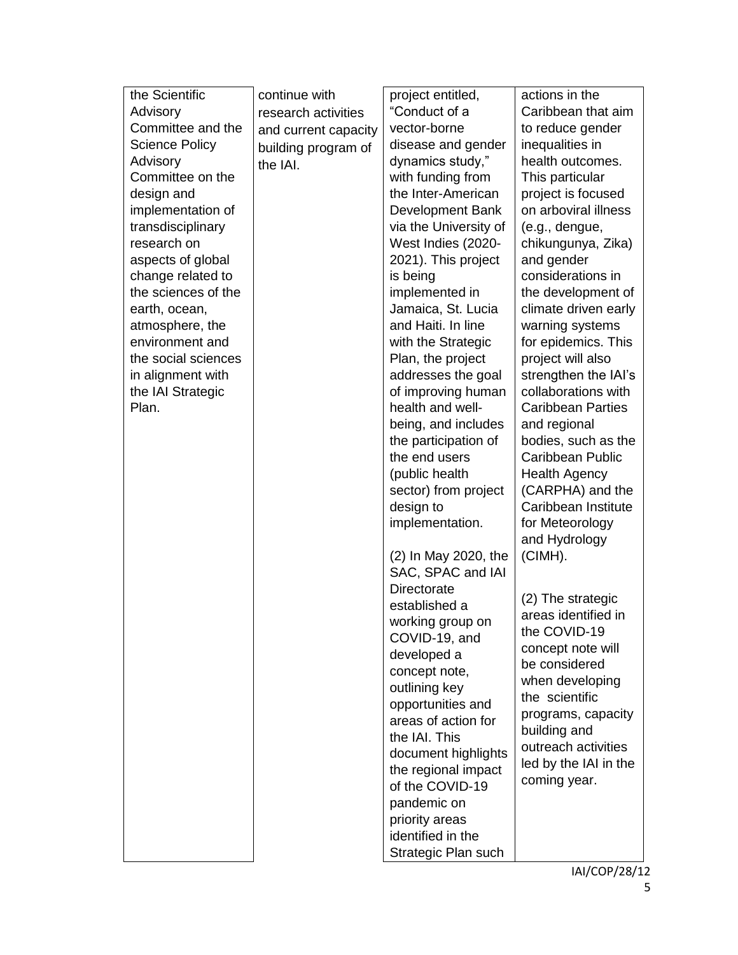| the Scientific        | continue with        | project entitled,     | actions in the                           |
|-----------------------|----------------------|-----------------------|------------------------------------------|
| Advisory              | research activities  | "Conduct of a         | Caribbean that aim                       |
| Committee and the     | and current capacity | vector-borne          | to reduce gender                         |
| <b>Science Policy</b> | building program of  | disease and gender    | inequalities in                          |
| Advisory              | the IAI.             | dynamics study,"      | health outcomes.                         |
| Committee on the      |                      | with funding from     | This particular                          |
| design and            |                      | the Inter-American    | project is focused                       |
| implementation of     |                      | Development Bank      | on arboviral illness                     |
| transdisciplinary     |                      | via the University of | (e.g., dengue,                           |
| research on           |                      | West Indies (2020-    | chikungunya, Zika)                       |
| aspects of global     |                      | 2021). This project   | and gender                               |
| change related to     |                      | is being              | considerations in                        |
| the sciences of the   |                      | implemented in        | the development of                       |
| earth, ocean,         |                      | Jamaica, St. Lucia    | climate driven early                     |
| atmosphere, the       |                      | and Haiti. In line    | warning systems                          |
| environment and       |                      | with the Strategic    | for epidemics. This                      |
| the social sciences   |                      | Plan, the project     | project will also                        |
| in alignment with     |                      | addresses the goal    | strengthen the IAI's                     |
| the IAI Strategic     |                      | of improving human    | collaborations with                      |
| Plan.                 |                      | health and well-      | <b>Caribbean Parties</b>                 |
|                       |                      | being, and includes   | and regional                             |
|                       |                      | the participation of  | bodies, such as the                      |
|                       |                      | the end users         | <b>Caribbean Public</b>                  |
|                       |                      | (public health        | <b>Health Agency</b>                     |
|                       |                      | sector) from project  | (CARPHA) and the                         |
|                       |                      | design to             | Caribbean Institute                      |
|                       |                      | implementation.       | for Meteorology                          |
|                       |                      |                       | and Hydrology                            |
|                       |                      | (2) In May 2020, the  | (CIMH).                                  |
|                       |                      | SAC, SPAC and IAI     |                                          |
|                       |                      | <b>Directorate</b>    |                                          |
|                       |                      | established a         | (2) The strategic<br>areas identified in |
|                       |                      | working group on      |                                          |
|                       |                      | COVID-19, and         | the COVID-19                             |
|                       |                      | developed a           | concept note will                        |
|                       |                      | concept note,         | be considered                            |
|                       |                      | outlining key         | when developing                          |
|                       |                      | opportunities and     | the scientific                           |
|                       |                      | areas of action for   | programs, capacity                       |
|                       |                      | the IAI. This         | building and<br>outreach activities      |
|                       |                      | document highlights   | led by the IAI in the                    |
|                       |                      | the regional impact   |                                          |
|                       |                      | of the COVID-19       | coming year.                             |
|                       |                      | pandemic on           |                                          |
|                       |                      | priority areas        |                                          |
|                       |                      | identified in the     |                                          |
|                       |                      | Strategic Plan such   |                                          |
|                       |                      |                       | IAI/COP/28/12                            |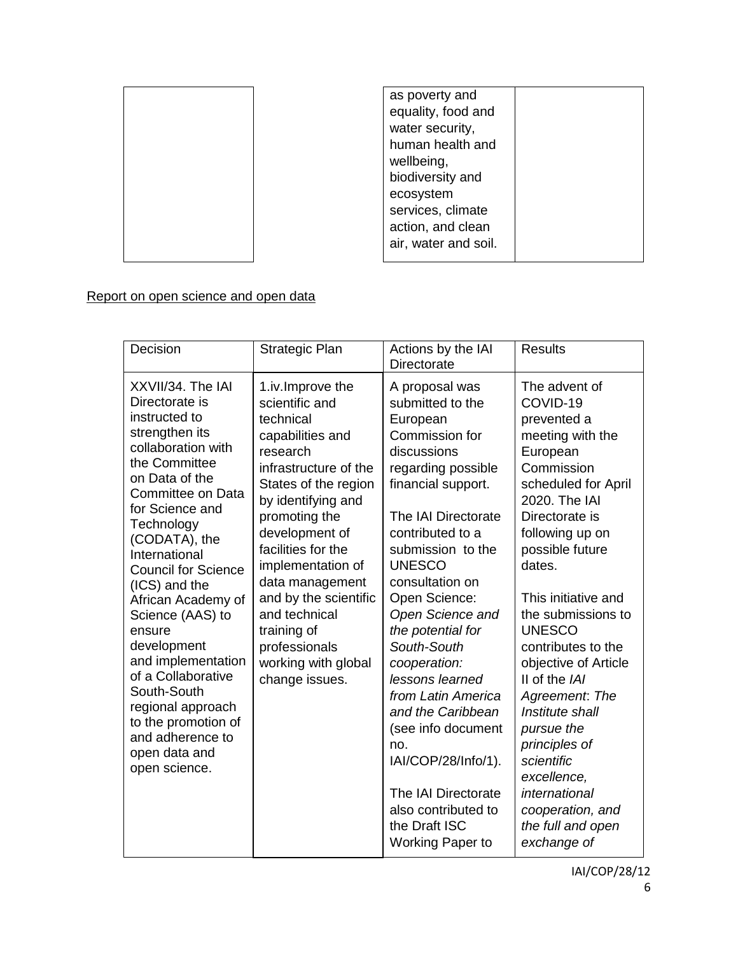

| as poverty and       |  |
|----------------------|--|
| equality, food and   |  |
| water security,      |  |
| human health and     |  |
| wellbeing,           |  |
| biodiversity and     |  |
| ecosystem            |  |
| services, climate    |  |
| action, and clean    |  |
| air, water and soil. |  |
|                      |  |

# Report on open science and open data

| Decision                                                                                                                                                                                                                                                                                                                                                                                                                                                                                               | Strategic Plan                                                                                                                                                                                                                                                                                                                                                             | Actions by the IAI<br><b>Directorate</b>                                                                                                                                                                                                                                                                                                                                                                                                                                                                                             | <b>Results</b>                                                                                                                                                                                                                                                                                                                                                                                                                                                                                          |
|--------------------------------------------------------------------------------------------------------------------------------------------------------------------------------------------------------------------------------------------------------------------------------------------------------------------------------------------------------------------------------------------------------------------------------------------------------------------------------------------------------|----------------------------------------------------------------------------------------------------------------------------------------------------------------------------------------------------------------------------------------------------------------------------------------------------------------------------------------------------------------------------|--------------------------------------------------------------------------------------------------------------------------------------------------------------------------------------------------------------------------------------------------------------------------------------------------------------------------------------------------------------------------------------------------------------------------------------------------------------------------------------------------------------------------------------|---------------------------------------------------------------------------------------------------------------------------------------------------------------------------------------------------------------------------------------------------------------------------------------------------------------------------------------------------------------------------------------------------------------------------------------------------------------------------------------------------------|
| XXVII/34. The IAI<br>Directorate is<br>instructed to<br>strengthen its<br>collaboration with<br>the Committee<br>on Data of the<br>Committee on Data<br>for Science and<br>Technology<br>(CODATA), the<br>International<br><b>Council for Science</b><br>(ICS) and the<br>African Academy of<br>Science (AAS) to<br>ensure<br>development<br>and implementation<br>of a Collaborative<br>South-South<br>regional approach<br>to the promotion of<br>and adherence to<br>open data and<br>open science. | 1.iv.Improve the<br>scientific and<br>technical<br>capabilities and<br>research<br>infrastructure of the<br>States of the region<br>by identifying and<br>promoting the<br>development of<br>facilities for the<br>implementation of<br>data management<br>and by the scientific<br>and technical<br>training of<br>professionals<br>working with global<br>change issues. | A proposal was<br>submitted to the<br>European<br>Commission for<br>discussions<br>regarding possible<br>financial support.<br>The IAI Directorate<br>contributed to a<br>submission to the<br><b>UNESCO</b><br>consultation on<br>Open Science:<br>Open Science and<br>the potential for<br>South-South<br>cooperation:<br>lessons learned<br>from Latin America<br>and the Caribbean<br>(see info document<br>no.<br>IAI/COP/28/Info/1).<br>The IAI Directorate<br>also contributed to<br>the Draft ISC<br><b>Working Paper to</b> | The advent of<br>COVID-19<br>prevented a<br>meeting with the<br>European<br>Commission<br>scheduled for April<br>2020. The IAI<br>Directorate is<br>following up on<br>possible future<br>dates.<br>This initiative and<br>the submissions to<br><b>UNESCO</b><br>contributes to the<br>objective of Article<br>II of the IAI<br>Agreement: The<br>Institute shall<br>pursue the<br>principles of<br>scientific<br>excellence,<br>international<br>cooperation, and<br>the full and open<br>exchange of |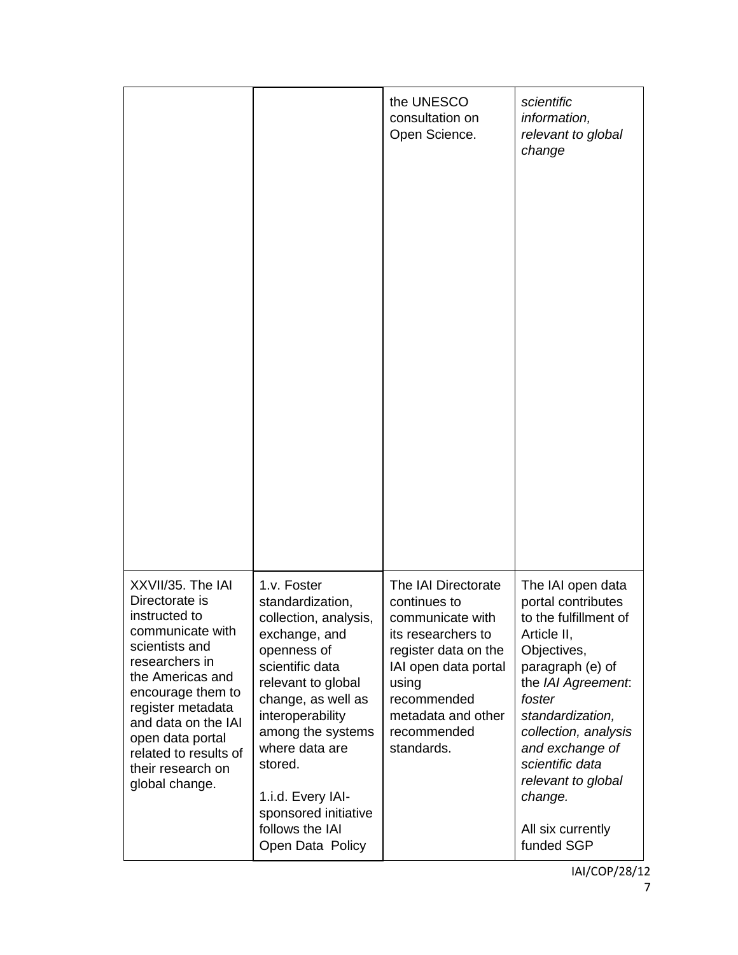|                                                                                                                                                                                                                                                                                       |                                                                                                                                                                                                                                                                                                                   | the UNESCO<br>consultation on<br>Open Science.                                                                                                                                                           | scientific<br>information,<br>relevant to global<br>change                                                                                                                                                                                                                                               |
|---------------------------------------------------------------------------------------------------------------------------------------------------------------------------------------------------------------------------------------------------------------------------------------|-------------------------------------------------------------------------------------------------------------------------------------------------------------------------------------------------------------------------------------------------------------------------------------------------------------------|----------------------------------------------------------------------------------------------------------------------------------------------------------------------------------------------------------|----------------------------------------------------------------------------------------------------------------------------------------------------------------------------------------------------------------------------------------------------------------------------------------------------------|
| XXVII/35. The IAI<br>Directorate is<br>instructed to<br>communicate with<br>scientists and<br>researchers in<br>the Americas and<br>encourage them to<br>register metadata<br>and data on the IAI<br>open data portal<br>related to results of<br>their research on<br>global change. | 1.v. Foster<br>standardization,<br>collection, analysis,<br>exchange, and<br>openness of<br>scientific data<br>relevant to global<br>change, as well as<br>interoperability<br>among the systems<br>where data are<br>stored.<br>1.i.d. Every IAI-<br>sponsored initiative<br>follows the IAI<br>Open Data Policy | The IAI Directorate<br>continues to<br>communicate with<br>its researchers to<br>register data on the<br>IAI open data portal<br>using<br>recommended<br>metadata and other<br>recommended<br>standards. | The IAI open data<br>portal contributes<br>to the fulfillment of<br>Article II,<br>Objectives,<br>paragraph (e) of<br>the IAI Agreement:<br>foster<br>standardization,<br>collection, analysis<br>and exchange of<br>scientific data<br>relevant to global<br>change.<br>All six currently<br>funded SGP |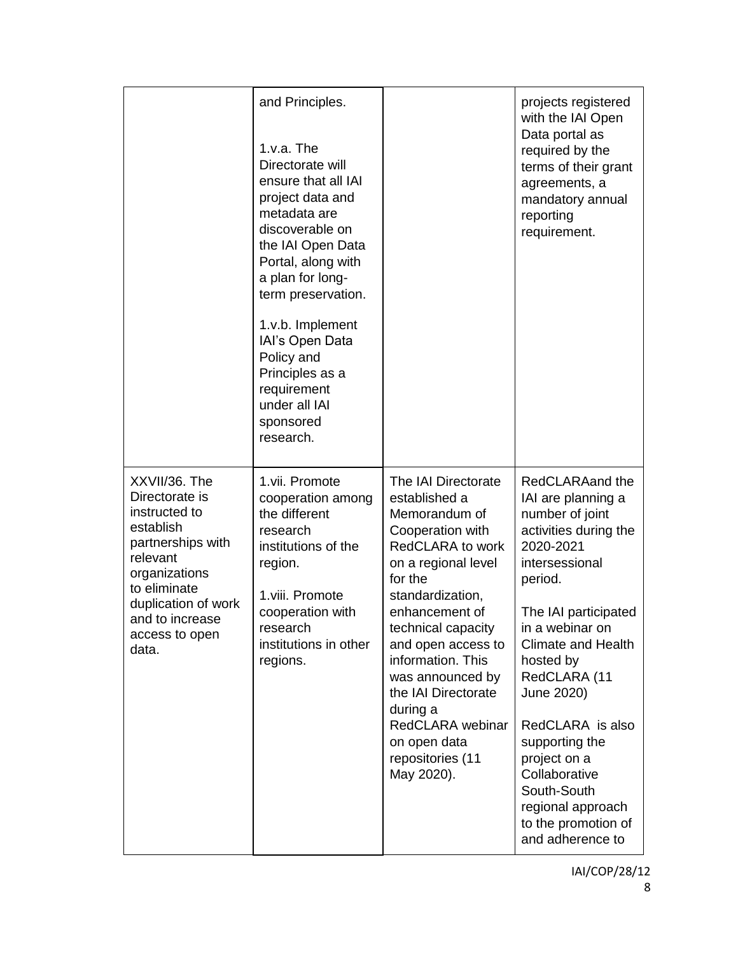|                                                                                                                                                                                                      | and Principles.<br>$1.v.a.$ The<br>Directorate will<br>ensure that all IAI<br>project data and<br>metadata are<br>discoverable on<br>the IAI Open Data<br>Portal, along with<br>a plan for long-<br>term preservation.<br>1.v.b. Implement<br>IAI's Open Data<br>Policy and<br>Principles as a<br>requirement<br>under all IAI<br>sponsored<br>research. |                                                                                                                                                                                                                                                                                                                                                                            | projects registered<br>with the IAI Open<br>Data portal as<br>required by the<br>terms of their grant<br>agreements, a<br>mandatory annual<br>reporting<br>requirement.                                                                                                                                                                                                                              |
|------------------------------------------------------------------------------------------------------------------------------------------------------------------------------------------------------|----------------------------------------------------------------------------------------------------------------------------------------------------------------------------------------------------------------------------------------------------------------------------------------------------------------------------------------------------------|----------------------------------------------------------------------------------------------------------------------------------------------------------------------------------------------------------------------------------------------------------------------------------------------------------------------------------------------------------------------------|------------------------------------------------------------------------------------------------------------------------------------------------------------------------------------------------------------------------------------------------------------------------------------------------------------------------------------------------------------------------------------------------------|
| XXVII/36. The<br>Directorate is<br>instructed to<br>establish<br>partnerships with<br>relevant<br>organizations<br>to eliminate<br>duplication of work<br>and to increase<br>access to open<br>data. | 1.vii. Promote<br>cooperation among<br>the different<br>research<br>institutions of the<br>region.<br>1.viii. Promote<br>cooperation with<br>research<br>institutions in other<br>regions.                                                                                                                                                               | The IAI Directorate<br>established a<br>Memorandum of<br>Cooperation with<br><b>RedCLARA to work</b><br>on a regional level<br>for the<br>standardization,<br>enhancement of<br>technical capacity<br>and open access to<br>information. This<br>was announced by<br>the IAI Directorate<br>during a<br>RedCLARA webinar<br>on open data<br>repositories (11<br>May 2020). | RedCLARAand the<br>IAI are planning a<br>number of joint<br>activities during the<br>2020-2021<br>intersessional<br>period.<br>The IAI participated<br>in a webinar on<br><b>Climate and Health</b><br>hosted by<br>RedCLARA (11<br>June 2020)<br>RedCLARA is also<br>supporting the<br>project on a<br>Collaborative<br>South-South<br>regional approach<br>to the promotion of<br>and adherence to |

IAI/COP/28/12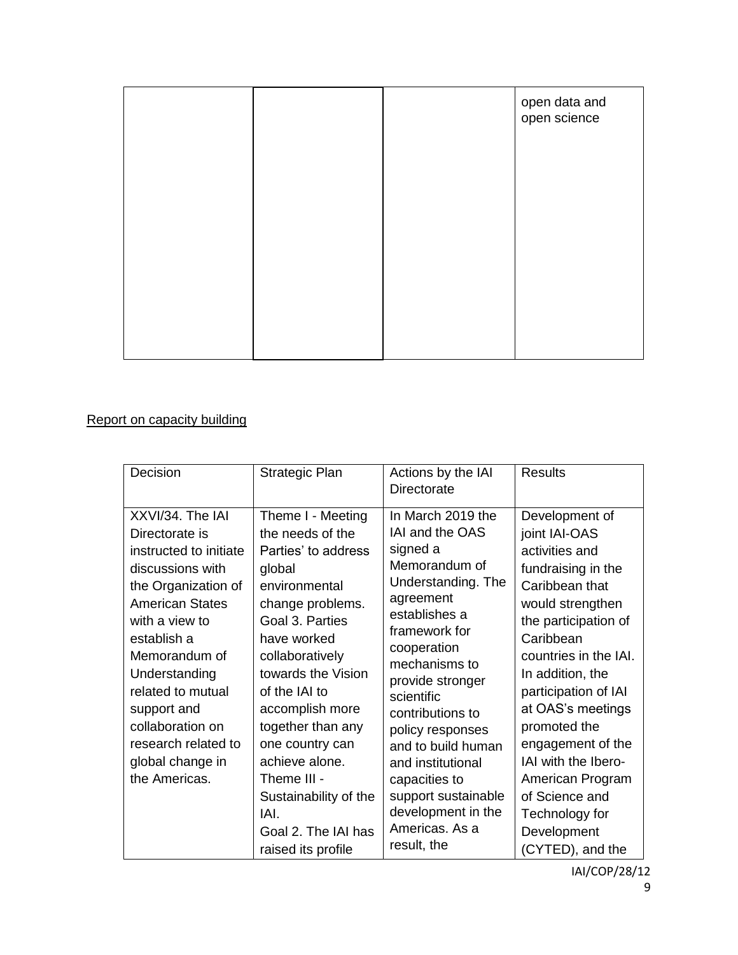|  | open data and<br>open science |
|--|-------------------------------|
|  |                               |
|  |                               |
|  |                               |
|  |                               |
|  |                               |

## Report on capacity building

| Decision                                                                                                                                                                                                                                                                                                                 | Strategic Plan                                                                                                                                                                                                                                                                                                                                                                    | Actions by the IAI<br>Directorate                                                                                                                                                                                                                                                                                                                                                                 | <b>Results</b>                                                                                                                                                                                                                                                                                                                                                                                      |
|--------------------------------------------------------------------------------------------------------------------------------------------------------------------------------------------------------------------------------------------------------------------------------------------------------------------------|-----------------------------------------------------------------------------------------------------------------------------------------------------------------------------------------------------------------------------------------------------------------------------------------------------------------------------------------------------------------------------------|---------------------------------------------------------------------------------------------------------------------------------------------------------------------------------------------------------------------------------------------------------------------------------------------------------------------------------------------------------------------------------------------------|-----------------------------------------------------------------------------------------------------------------------------------------------------------------------------------------------------------------------------------------------------------------------------------------------------------------------------------------------------------------------------------------------------|
| XXVI/34. The IAI<br>Directorate is<br>instructed to initiate<br>discussions with<br>the Organization of<br><b>American States</b><br>with a view to<br>establish a<br>Memorandum of<br>Understanding<br>related to mutual<br>support and<br>collaboration on<br>research related to<br>global change in<br>the Americas. | Theme I - Meeting<br>the needs of the<br>Parties' to address<br>global<br>environmental<br>change problems.<br>Goal 3. Parties<br>have worked<br>collaboratively<br>towards the Vision<br>of the IAI to<br>accomplish more<br>together than any<br>one country can<br>achieve alone.<br>Theme III -<br>Sustainability of the<br>IAI.<br>Goal 2. The IAI has<br>raised its profile | In March 2019 the<br><b>IAI and the OAS</b><br>signed a<br>Memorandum of<br>Understanding. The<br>agreement<br>establishes a<br>framework for<br>cooperation<br>mechanisms to<br>provide stronger<br>scientific<br>contributions to<br>policy responses<br>and to build human<br>and institutional<br>capacities to<br>support sustainable<br>development in the<br>Americas. As a<br>result, the | Development of<br>joint IAI-OAS<br>activities and<br>fundraising in the<br>Caribbean that<br>would strengthen<br>the participation of<br>Caribbean<br>countries in the IAI.<br>In addition, the<br>participation of IAI<br>at OAS's meetings<br>promoted the<br>engagement of the<br>IAI with the Ibero-<br>American Program<br>of Science and<br>Technology for<br>Development<br>(CYTED), and the |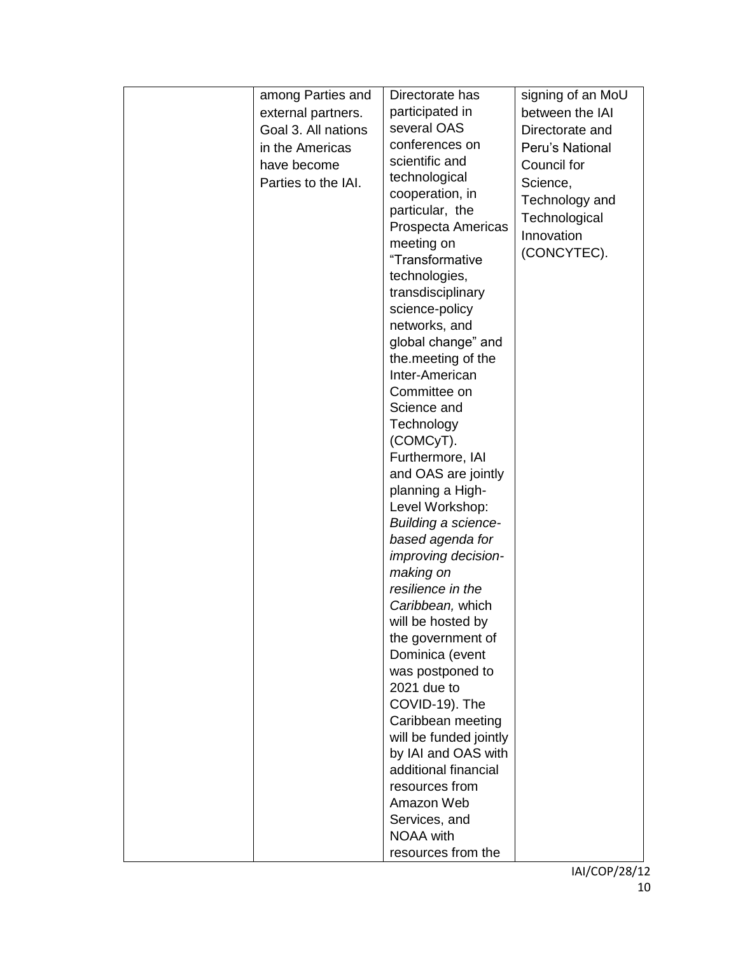| among Parties and   | Directorate has                      | signing of an MoU |
|---------------------|--------------------------------------|-------------------|
| external partners.  | participated in                      | between the IAI   |
| Goal 3. All nations | several OAS                          | Directorate and   |
| in the Americas     | conferences on                       | Peru's National   |
| have become         | scientific and                       | Council for       |
| Parties to the IAI. | technological                        | Science,          |
|                     | cooperation, in                      | Technology and    |
|                     | particular, the                      | Technological     |
|                     | Prospecta Americas                   | Innovation        |
|                     | meeting on                           | (CONCYTEC).       |
|                     | "Transformative                      |                   |
|                     | technologies,                        |                   |
|                     | transdisciplinary                    |                   |
|                     | science-policy                       |                   |
|                     | networks, and                        |                   |
|                     | global change" and                   |                   |
|                     | the meeting of the<br>Inter-American |                   |
|                     | Committee on                         |                   |
|                     | Science and                          |                   |
|                     | Technology                           |                   |
|                     | (COMCyT).                            |                   |
|                     | Furthermore, IAI                     |                   |
|                     | and OAS are jointly                  |                   |
|                     | planning a High-                     |                   |
|                     | Level Workshop:                      |                   |
|                     | Building a science-                  |                   |
|                     | based agenda for                     |                   |
|                     | improving decision-                  |                   |
|                     | making on                            |                   |
|                     | resilience in the                    |                   |
|                     | Caribbean, which                     |                   |
|                     | will be hosted by                    |                   |
|                     | the government of                    |                   |
|                     | Dominica (event                      |                   |
|                     | was postponed to<br>2021 due to      |                   |
|                     | COVID-19). The                       |                   |
|                     | Caribbean meeting                    |                   |
|                     | will be funded jointly               |                   |
|                     | by IAI and OAS with                  |                   |
|                     | additional financial                 |                   |
|                     | resources from                       |                   |
|                     | Amazon Web                           |                   |
|                     | Services, and                        |                   |
|                     | <b>NOAA</b> with                     |                   |
|                     | resources from the                   |                   |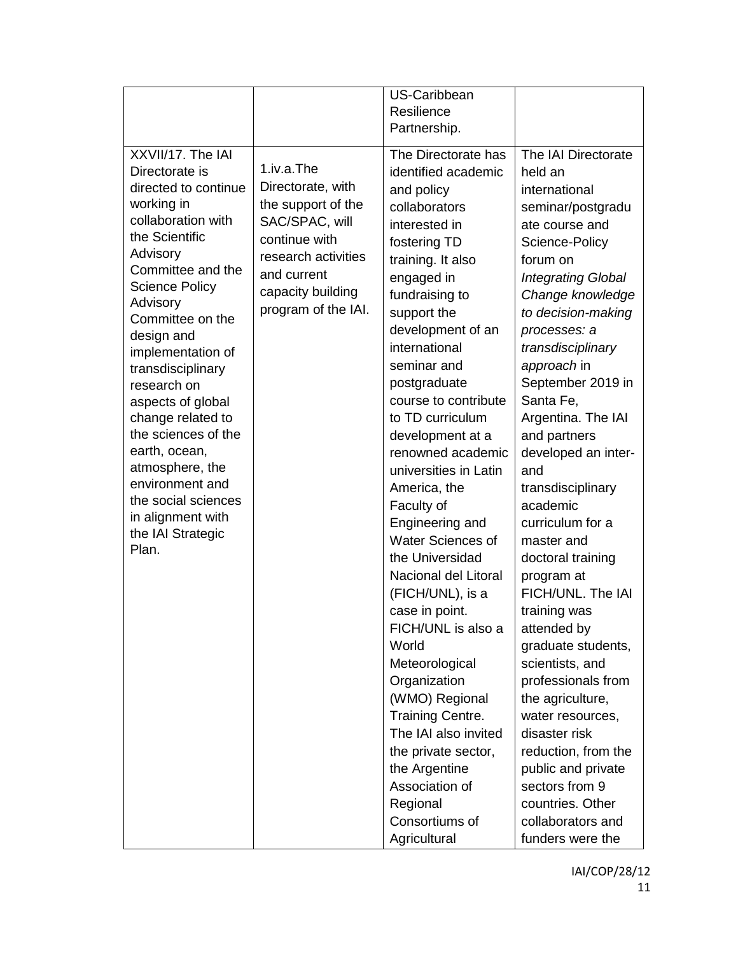|                                                                                                                                                                                                                                                                                    |                                                                                                                                                                            | US-Caribbean                                                                                                                                                                                                                                        |                                                                                                                                                                                                                                                                      |
|------------------------------------------------------------------------------------------------------------------------------------------------------------------------------------------------------------------------------------------------------------------------------------|----------------------------------------------------------------------------------------------------------------------------------------------------------------------------|-----------------------------------------------------------------------------------------------------------------------------------------------------------------------------------------------------------------------------------------------------|----------------------------------------------------------------------------------------------------------------------------------------------------------------------------------------------------------------------------------------------------------------------|
|                                                                                                                                                                                                                                                                                    |                                                                                                                                                                            | Resilience                                                                                                                                                                                                                                          |                                                                                                                                                                                                                                                                      |
|                                                                                                                                                                                                                                                                                    |                                                                                                                                                                            | Partnership.                                                                                                                                                                                                                                        |                                                                                                                                                                                                                                                                      |
| XXVII/17. The IAI<br>Directorate is<br>directed to continue<br>working in<br>collaboration with<br>the Scientific<br>Advisory<br>Committee and the<br><b>Science Policy</b><br>Advisory<br>Committee on the<br>design and<br>implementation of<br>transdisciplinary<br>research on | 1.iv.a.The<br>Directorate, with<br>the support of the<br>SAC/SPAC, will<br>continue with<br>research activities<br>and current<br>capacity building<br>program of the IAI. | The Directorate has<br>identified academic<br>and policy<br>collaborators<br>interested in<br>fostering TD<br>training. It also<br>engaged in<br>fundraising to<br>support the<br>development of an<br>international<br>seminar and<br>postgraduate | The IAI Directorate<br>held an<br>international<br>seminar/postgradu<br>ate course and<br>Science-Policy<br>forum on<br><b>Integrating Global</b><br>Change knowledge<br>to decision-making<br>processes: a<br>transdisciplinary<br>approach in<br>September 2019 in |
| aspects of global<br>change related to<br>the sciences of the<br>earth, ocean,                                                                                                                                                                                                     |                                                                                                                                                                            | course to contribute<br>to TD curriculum<br>development at a<br>renowned academic                                                                                                                                                                   | Santa Fe,<br>Argentina. The IAI<br>and partners<br>developed an inter-                                                                                                                                                                                               |
| atmosphere, the<br>environment and<br>the social sciences                                                                                                                                                                                                                          |                                                                                                                                                                            | universities in Latin<br>America, the<br>Faculty of                                                                                                                                                                                                 | and<br>transdisciplinary<br>academic                                                                                                                                                                                                                                 |
| in alignment with<br>the IAI Strategic<br>Plan.                                                                                                                                                                                                                                    |                                                                                                                                                                            | Engineering and<br>Water Sciences of<br>the Universidad                                                                                                                                                                                             | curriculum for a<br>master and<br>doctoral training                                                                                                                                                                                                                  |
|                                                                                                                                                                                                                                                                                    |                                                                                                                                                                            | Nacional del Litoral<br>(FICH/UNL), is a<br>case in point.                                                                                                                                                                                          | program at<br>FICH/UNL. The IAI                                                                                                                                                                                                                                      |
|                                                                                                                                                                                                                                                                                    |                                                                                                                                                                            | FICH/UNL is also a<br>World                                                                                                                                                                                                                         | training was<br>attended by<br>graduate students,                                                                                                                                                                                                                    |
|                                                                                                                                                                                                                                                                                    |                                                                                                                                                                            | Meteorological<br>Organization<br>(WMO) Regional<br><b>Training Centre.</b>                                                                                                                                                                         | scientists, and<br>professionals from<br>the agriculture,<br>water resources,                                                                                                                                                                                        |
|                                                                                                                                                                                                                                                                                    |                                                                                                                                                                            | The IAI also invited<br>the private sector,                                                                                                                                                                                                         | disaster risk<br>reduction, from the                                                                                                                                                                                                                                 |
|                                                                                                                                                                                                                                                                                    |                                                                                                                                                                            | the Argentine<br>Association of                                                                                                                                                                                                                     | public and private<br>sectors from 9                                                                                                                                                                                                                                 |
|                                                                                                                                                                                                                                                                                    |                                                                                                                                                                            | Regional<br>Consortiums of<br>Agricultural                                                                                                                                                                                                          | countries. Other<br>collaborators and<br>funders were the                                                                                                                                                                                                            |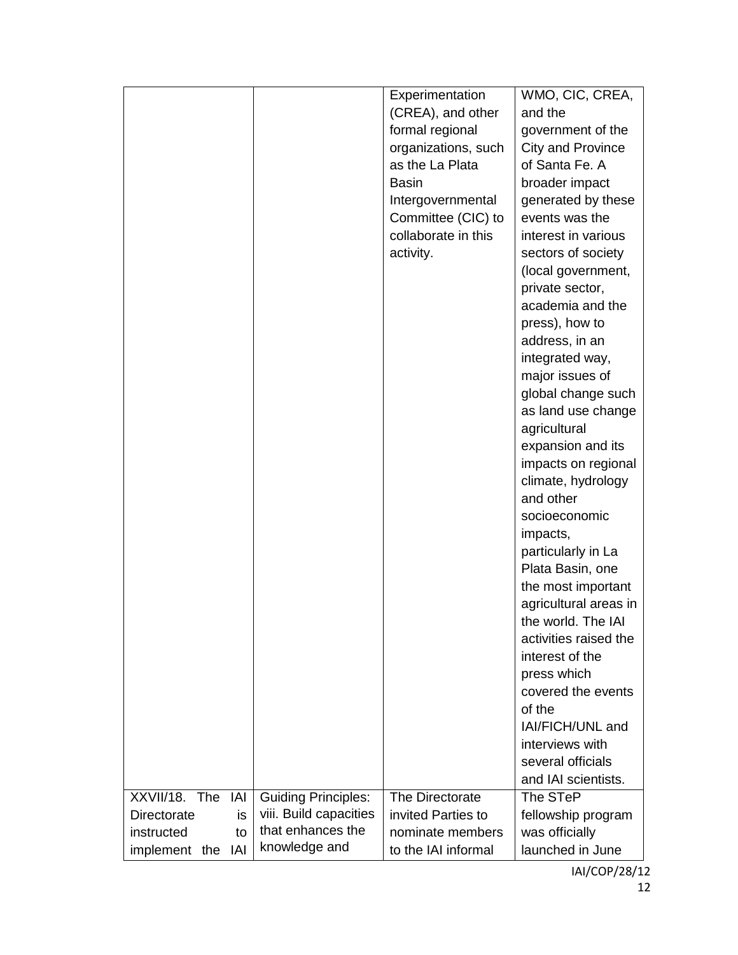|                   |                              | Experimentation     | WMO, CIC, CREA,          |
|-------------------|------------------------------|---------------------|--------------------------|
|                   |                              | (CREA), and other   | and the                  |
|                   |                              | formal regional     | government of the        |
|                   |                              | organizations, such | <b>City and Province</b> |
|                   |                              | as the La Plata     | of Santa Fe. A           |
|                   |                              | <b>Basin</b>        | broader impact           |
|                   |                              | Intergovernmental   | generated by these       |
|                   |                              | Committee (CIC) to  | events was the           |
|                   |                              | collaborate in this | interest in various      |
|                   |                              | activity.           | sectors of society       |
|                   |                              |                     | (local government,       |
|                   |                              |                     | private sector,          |
|                   |                              |                     | academia and the         |
|                   |                              |                     |                          |
|                   |                              |                     | press), how to           |
|                   |                              |                     | address, in an           |
|                   |                              |                     | integrated way,          |
|                   |                              |                     | major issues of          |
|                   |                              |                     | global change such       |
|                   |                              |                     | as land use change       |
|                   |                              |                     | agricultural             |
|                   |                              |                     | expansion and its        |
|                   |                              |                     | impacts on regional      |
|                   |                              |                     | climate, hydrology       |
|                   |                              |                     | and other                |
|                   |                              |                     | socioeconomic            |
|                   |                              |                     | impacts,                 |
|                   |                              |                     | particularly in La       |
|                   |                              |                     | Plata Basin, one         |
|                   |                              |                     | the most important       |
|                   |                              |                     | agricultural areas in    |
|                   |                              |                     | the world. The IAI       |
|                   |                              |                     | activities raised the    |
|                   |                              |                     | interest of the          |
|                   |                              |                     | press which              |
|                   |                              |                     | covered the events       |
|                   |                              |                     | of the                   |
|                   |                              |                     | IAI/FICH/UNL and         |
|                   |                              |                     | interviews with          |
|                   |                              |                     | several officials        |
|                   |                              |                     | and IAI scientists.      |
| XXVII/18. The IAI | <b>Guiding Principles:</b>   | The Directorate     | The STeP                 |
| Directorate       | viii. Build capacities<br>is | invited Parties to  | fellowship program       |
| instructed        | that enhances the<br>to      | nominate members    | was officially           |
| IAI               | knowledge and                | to the IAI informal | launched in June         |
| implement the     |                              |                     |                          |

IAI/COP/28/12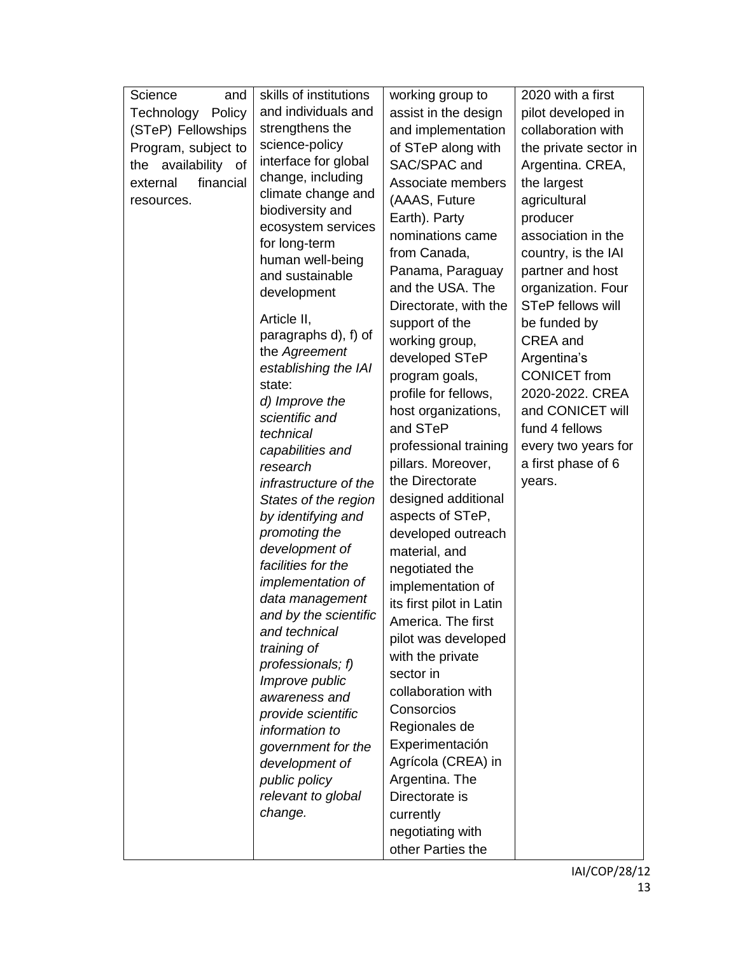| and<br>Science        | skills of institutions              | working group to         | 2020 with a first     |
|-----------------------|-------------------------------------|--------------------------|-----------------------|
| Technology<br>Policy  | and individuals and                 | assist in the design     | pilot developed in    |
| (STeP) Fellowships    | strengthens the                     | and implementation       | collaboration with    |
| Program, subject to   | science-policy                      | of STeP along with       | the private sector in |
| the availability of   | interface for global                | SAC/SPAC and             | Argentina. CREA,      |
| financial<br>external | change, including                   | Associate members        | the largest           |
| resources.            | climate change and                  | (AAAS, Future            | agricultural          |
|                       | biodiversity and                    | Earth). Party            | producer              |
|                       | ecosystem services                  | nominations came         | association in the    |
|                       | for long-term                       | from Canada,             | country, is the IAI   |
|                       | human well-being<br>and sustainable | Panama, Paraguay         | partner and host      |
|                       |                                     | and the USA. The         | organization. Four    |
|                       | development                         | Directorate, with the    | STeP fellows will     |
|                       | Article II,                         | support of the           | be funded by          |
|                       | paragraphs d), f) of                | working group,           | CREA and              |
|                       | the Agreement                       | developed STeP           | Argentina's           |
|                       | establishing the IAI                | program goals,           | <b>CONICET</b> from   |
|                       | state:                              | profile for fellows,     | 2020-2022. CREA       |
|                       | d) Improve the                      | host organizations,      | and CONICET will      |
|                       | scientific and                      | and STeP                 | fund 4 fellows        |
|                       | technical                           | professional training    | every two years for   |
|                       | capabilities and<br>research        | pillars. Moreover,       | a first phase of 6    |
|                       | infrastructure of the               | the Directorate          | years.                |
|                       | States of the region                | designed additional      |                       |
|                       | by identifying and                  | aspects of STeP,         |                       |
|                       | promoting the                       | developed outreach       |                       |
|                       | development of                      | material, and            |                       |
|                       | facilities for the                  | negotiated the           |                       |
|                       | implementation of                   | implementation of        |                       |
|                       | data management                     | its first pilot in Latin |                       |
|                       | and by the scientific               | America. The first       |                       |
|                       | and technical                       | pilot was developed      |                       |
|                       | training of                         | with the private         |                       |
|                       | professionals; f)                   | sector in                |                       |
|                       | Improve public                      | collaboration with       |                       |
|                       | awareness and                       | Consorcios               |                       |
|                       | provide scientific                  |                          |                       |
|                       | information to                      | Regionales de            |                       |
|                       | government for the                  | Experimentación          |                       |
|                       | development of                      | Agrícola (CREA) in       |                       |
|                       | public policy                       | Argentina. The           |                       |
|                       | relevant to global                  | Directorate is           |                       |
|                       | change.                             | currently                |                       |
|                       |                                     | negotiating with         |                       |
|                       |                                     | other Parties the        |                       |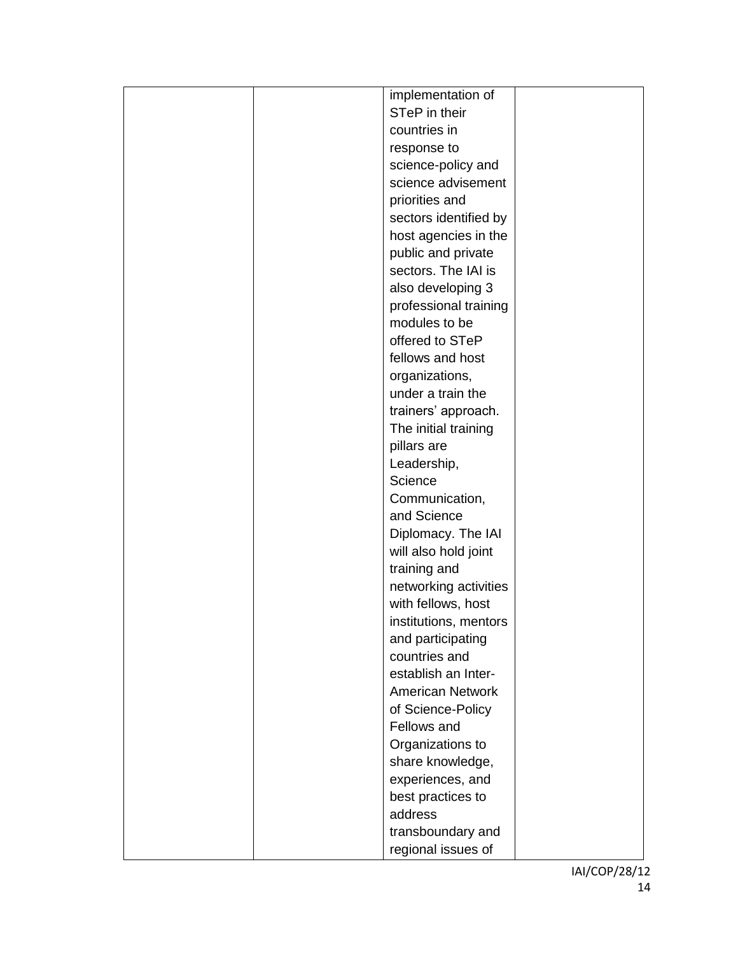| implementation of       |
|-------------------------|
| STeP in their           |
| countries in            |
| response to             |
| science-policy and      |
| science advisement      |
| priorities and          |
| sectors identified by   |
| host agencies in the    |
| public and private      |
| sectors. The IAI is     |
| also developing 3       |
| professional training   |
| modules to be           |
| offered to STeP         |
| fellows and host        |
| organizations,          |
| under a train the       |
| trainers' approach.     |
| The initial training    |
| pillars are             |
| Leadership,             |
| Science                 |
| Communication,          |
| and Science             |
| Diplomacy. The IAI      |
| will also hold joint    |
| training and            |
| networking activities   |
| with fellows, host      |
| institutions, mentors   |
| and participating       |
| countries and           |
| establish an Inter-     |
| <b>American Network</b> |
| of Science-Policy       |
| Fellows and             |
| Organizations to        |
| share knowledge,        |
| experiences, and        |
| best practices to       |
| address                 |
| transboundary and       |
| regional issues of      |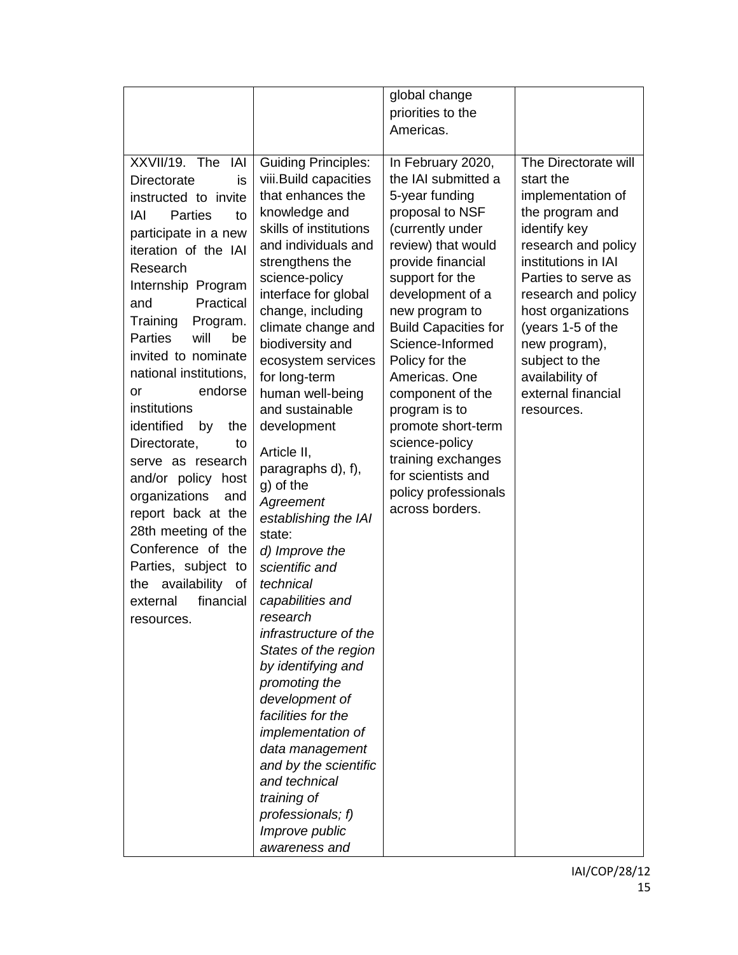|                              |                                   | global change                           |                                            |
|------------------------------|-----------------------------------|-----------------------------------------|--------------------------------------------|
|                              |                                   | priorities to the                       |                                            |
|                              |                                   | Americas.                               |                                            |
|                              |                                   |                                         |                                            |
| XXVII/19. The<br>IAI         | <b>Guiding Principles:</b>        | In February 2020,                       | The Directorate will                       |
| is<br>Directorate            | viii.Build capacities             | the IAI submitted a                     | start the                                  |
| instructed to invite         | that enhances the                 | 5-year funding                          | implementation of                          |
| <b>Parties</b><br>IAI<br>to  | knowledge and                     | proposal to NSF                         | the program and                            |
| participate in a new         | skills of institutions            | (currently under                        | identify key                               |
| iteration of the IAI         | and individuals and               | review) that would<br>provide financial | research and policy<br>institutions in IAI |
| Research                     | strengthens the<br>science-policy | support for the                         | Parties to serve as                        |
| Internship Program           | interface for global              | development of a                        | research and policy                        |
| Practical<br>and             | change, including                 | new program to                          | host organizations                         |
| Training<br>Program.         | climate change and                | <b>Build Capacities for</b>             | (years 1-5 of the                          |
| will<br><b>Parties</b><br>be | biodiversity and                  | Science-Informed                        | new program),                              |
| invited to nominate          | ecosystem services                | Policy for the                          | subject to the                             |
| national institutions,       | for long-term                     | Americas. One                           | availability of                            |
| endorse<br>or                | human well-being                  | component of the                        | external financial                         |
| institutions                 | and sustainable                   | program is to                           | resources.                                 |
| identified<br>by<br>the      | development                       | promote short-term                      |                                            |
| Directorate,<br>to           |                                   | science-policy                          |                                            |
| serve as research            | Article II,                       | training exchanges                      |                                            |
| and/or policy host           | paragraphs d), f),<br>g) of the   | for scientists and                      |                                            |
| organizations<br>and         | Agreement                         | policy professionals                    |                                            |
| report back at the           | establishing the IAI              | across borders.                         |                                            |
| 28th meeting of the          | state:                            |                                         |                                            |
| Conference of the            | d) Improve the                    |                                         |                                            |
| Parties, subject to          | scientific and                    |                                         |                                            |
| the availability<br>of       | technical                         |                                         |                                            |
| financial<br>external        | capabilities and                  |                                         |                                            |
| resources.                   | research                          |                                         |                                            |
|                              | infrastructure of the             |                                         |                                            |
|                              | States of the region              |                                         |                                            |
|                              | by identifying and                |                                         |                                            |
|                              | promoting the                     |                                         |                                            |
|                              | development of                    |                                         |                                            |
|                              | facilities for the                |                                         |                                            |
|                              | <i>implementation of</i>          |                                         |                                            |
|                              | data management                   |                                         |                                            |
|                              | and by the scientific             |                                         |                                            |
|                              | and technical                     |                                         |                                            |
|                              | training of                       |                                         |                                            |
|                              | professionals; f)                 |                                         |                                            |
|                              | Improve public                    |                                         |                                            |
|                              | awareness and                     |                                         |                                            |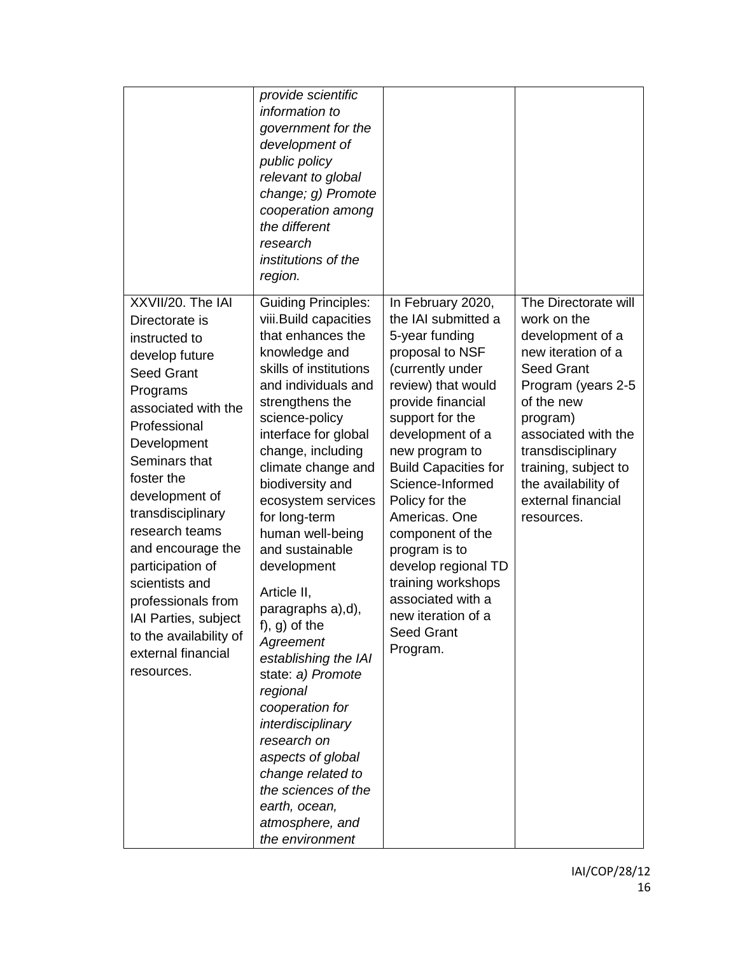|                                                                                                                                                                                                                                                                                                                                                                                                                              | provide scientific<br>information to<br>government for the<br>development of<br>public policy<br>relevant to global<br>change; g) Promote<br>cooperation among<br>the different<br>research<br>institutions of the<br>region.                                                                                                                                                                                                                                                                                                                                                                                                                                                    |                                                                                                                                                                                                                                                                                                                                                                                                                                                           |                                                                                                                                                                                                                                                                                   |
|------------------------------------------------------------------------------------------------------------------------------------------------------------------------------------------------------------------------------------------------------------------------------------------------------------------------------------------------------------------------------------------------------------------------------|----------------------------------------------------------------------------------------------------------------------------------------------------------------------------------------------------------------------------------------------------------------------------------------------------------------------------------------------------------------------------------------------------------------------------------------------------------------------------------------------------------------------------------------------------------------------------------------------------------------------------------------------------------------------------------|-----------------------------------------------------------------------------------------------------------------------------------------------------------------------------------------------------------------------------------------------------------------------------------------------------------------------------------------------------------------------------------------------------------------------------------------------------------|-----------------------------------------------------------------------------------------------------------------------------------------------------------------------------------------------------------------------------------------------------------------------------------|
| XXVII/20. The IAI<br>Directorate is<br>instructed to<br>develop future<br><b>Seed Grant</b><br>Programs<br>associated with the<br>Professional<br>Development<br>Seminars that<br>foster the<br>development of<br>transdisciplinary<br>research teams<br>and encourage the<br>participation of<br>scientists and<br>professionals from<br>IAI Parties, subject<br>to the availability of<br>external financial<br>resources. | <b>Guiding Principles:</b><br>viii. Build capacities<br>that enhances the<br>knowledge and<br>skills of institutions<br>and individuals and<br>strengthens the<br>science-policy<br>interface for global<br>change, including<br>climate change and<br>biodiversity and<br>ecosystem services<br>for long-term<br>human well-being<br>and sustainable<br>development<br>Article II,<br>paragraphs a),d),<br>$f$ , g) of the<br>Agreement<br>establishing the IAI<br>state: a) Promote<br>regional<br>cooperation for<br>interdisciplinary<br>research on<br>aspects of global<br>change related to<br>the sciences of the<br>earth, ocean,<br>atmosphere, and<br>the environment | In February 2020,<br>the IAI submitted a<br>5-year funding<br>proposal to NSF<br>(currently under<br>review) that would<br>provide financial<br>support for the<br>development of a<br>new program to<br><b>Build Capacities for</b><br>Science-Informed<br>Policy for the<br>Americas. One<br>component of the<br>program is to<br>develop regional TD<br>training workshops<br>associated with a<br>new iteration of a<br><b>Seed Grant</b><br>Program. | The Directorate will<br>work on the<br>development of a<br>new iteration of a<br><b>Seed Grant</b><br>Program (years 2-5<br>of the new<br>program)<br>associated with the<br>transdisciplinary<br>training, subject to<br>the availability of<br>external financial<br>resources. |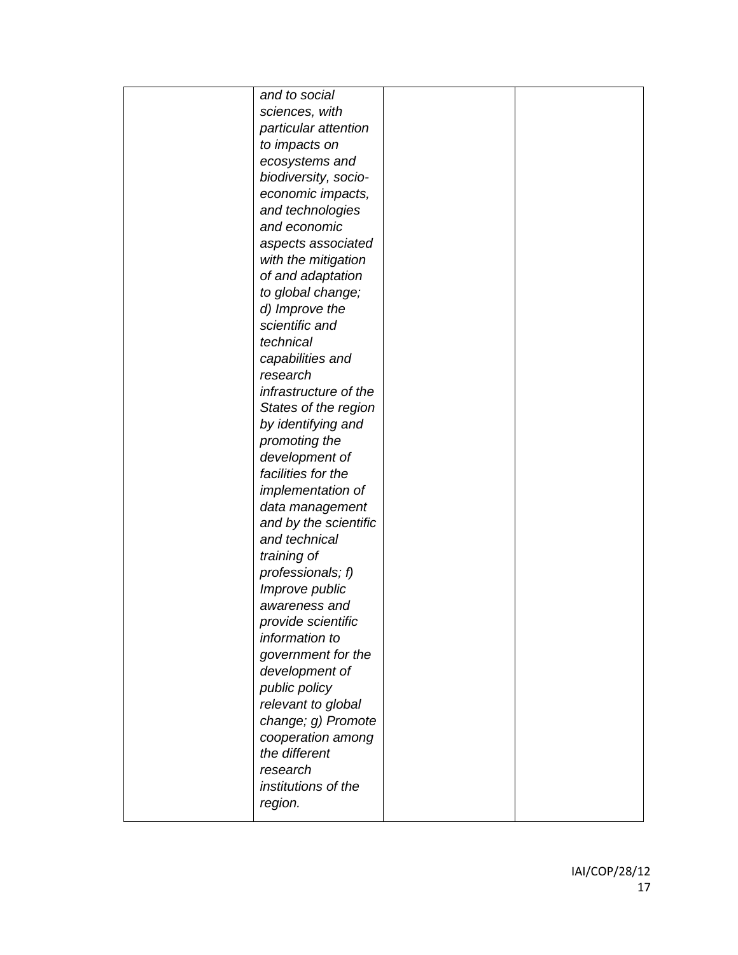| and to social                |  |
|------------------------------|--|
| sciences, with               |  |
| particular attention         |  |
| to impacts on                |  |
| ecosystems and               |  |
| biodiversity, socio-         |  |
| economic impacts,            |  |
| and technologies             |  |
| and economic                 |  |
| aspects associated           |  |
| with the mitigation          |  |
| of and adaptation            |  |
| to global change;            |  |
| d) Improve the               |  |
| scientific and               |  |
| technical                    |  |
|                              |  |
| capabilities and<br>research |  |
|                              |  |
| infrastructure of the        |  |
| States of the region         |  |
| by identifying and           |  |
| promoting the                |  |
| development of               |  |
| facilities for the           |  |
| implementation of            |  |
| data management              |  |
| and by the scientific        |  |
| and technical                |  |
| training of                  |  |
| professionals; f)            |  |
| Improve public               |  |
| awareness and                |  |
| <i>provide scientific</i>    |  |
| information to               |  |
| government for the           |  |
| development of               |  |
| public policy                |  |
| relevant to global           |  |
| change; g) Promote           |  |
| cooperation among            |  |
| the different                |  |
| research                     |  |
| institutions of the          |  |
| region.                      |  |
|                              |  |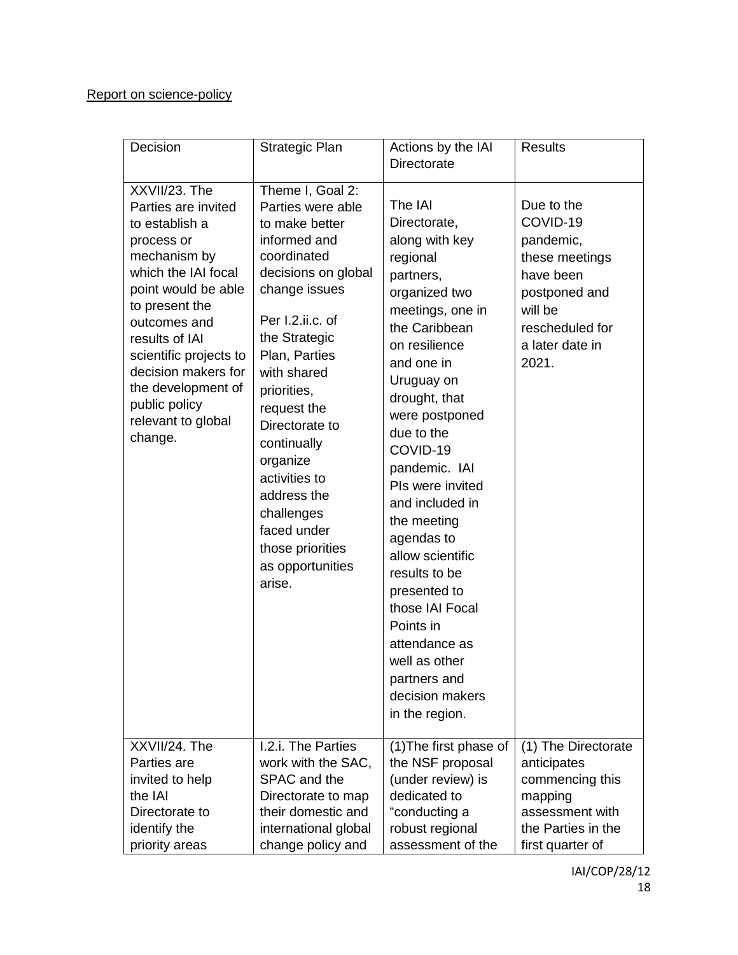### Report on science-policy

| Decision                                                                                                                                                                                                                                                                                                                         | Strategic Plan                                                                                                                                                                                                                                                                                                                                                                                                      | Actions by the IAI<br><b>Directorate</b>                                                                                                                                                                                                                                                                                                                                                                                                                                                                                      | <b>Results</b>                                                                                                                                                       |
|----------------------------------------------------------------------------------------------------------------------------------------------------------------------------------------------------------------------------------------------------------------------------------------------------------------------------------|---------------------------------------------------------------------------------------------------------------------------------------------------------------------------------------------------------------------------------------------------------------------------------------------------------------------------------------------------------------------------------------------------------------------|-------------------------------------------------------------------------------------------------------------------------------------------------------------------------------------------------------------------------------------------------------------------------------------------------------------------------------------------------------------------------------------------------------------------------------------------------------------------------------------------------------------------------------|----------------------------------------------------------------------------------------------------------------------------------------------------------------------|
| XXVII/23. The<br>Parties are invited<br>to establish a<br>process or<br>mechanism by<br>which the IAI focal<br>point would be able<br>to present the<br>outcomes and<br>results of IAI<br>scientific projects to<br>decision makers for<br>the development of<br>public policy<br>relevant to global<br>change.<br>XXVII/24. The | Theme I, Goal 2:<br>Parties were able<br>to make better<br>informed and<br>coordinated<br>decisions on global<br>change issues<br>Per I.2.ii.c. of<br>the Strategic<br>Plan, Parties<br>with shared<br>priorities,<br>request the<br>Directorate to<br>continually<br>organize<br>activities to<br>address the<br>challenges<br>faced under<br>those priorities<br>as opportunities<br>arise.<br>I.2.i. The Parties | The IAI<br>Directorate,<br>along with key<br>regional<br>partners,<br>organized two<br>meetings, one in<br>the Caribbean<br>on resilience<br>and one in<br>Uruguay on<br>drought, that<br>were postponed<br>due to the<br>COVID-19<br>pandemic. IAI<br>PIs were invited<br>and included in<br>the meeting<br>agendas to<br>allow scientific<br>results to be<br>presented to<br>those IAI Focal<br>Points in<br>attendance as<br>well as other<br>partners and<br>decision makers<br>in the region.<br>(1) The first phase of | Due to the<br>COVID-19<br>pandemic,<br>these meetings<br>have been<br>postponed and<br>will be<br>rescheduled for<br>a later date in<br>2021.<br>(1) The Directorate |
| Parties are<br>invited to help                                                                                                                                                                                                                                                                                                   | work with the SAC,<br>SPAC and the                                                                                                                                                                                                                                                                                                                                                                                  | the NSF proposal<br>(under review) is                                                                                                                                                                                                                                                                                                                                                                                                                                                                                         | anticipates<br>commencing this                                                                                                                                       |
| the IAI                                                                                                                                                                                                                                                                                                                          | Directorate to map                                                                                                                                                                                                                                                                                                                                                                                                  | dedicated to                                                                                                                                                                                                                                                                                                                                                                                                                                                                                                                  | mapping                                                                                                                                                              |
| Directorate to                                                                                                                                                                                                                                                                                                                   | their domestic and                                                                                                                                                                                                                                                                                                                                                                                                  | "conducting a                                                                                                                                                                                                                                                                                                                                                                                                                                                                                                                 | assessment with                                                                                                                                                      |
| identify the                                                                                                                                                                                                                                                                                                                     | international global                                                                                                                                                                                                                                                                                                                                                                                                | robust regional                                                                                                                                                                                                                                                                                                                                                                                                                                                                                                               | the Parties in the                                                                                                                                                   |
| priority areas                                                                                                                                                                                                                                                                                                                   | change policy and                                                                                                                                                                                                                                                                                                                                                                                                   | assessment of the                                                                                                                                                                                                                                                                                                                                                                                                                                                                                                             | first quarter of                                                                                                                                                     |

IAI/COP/28/12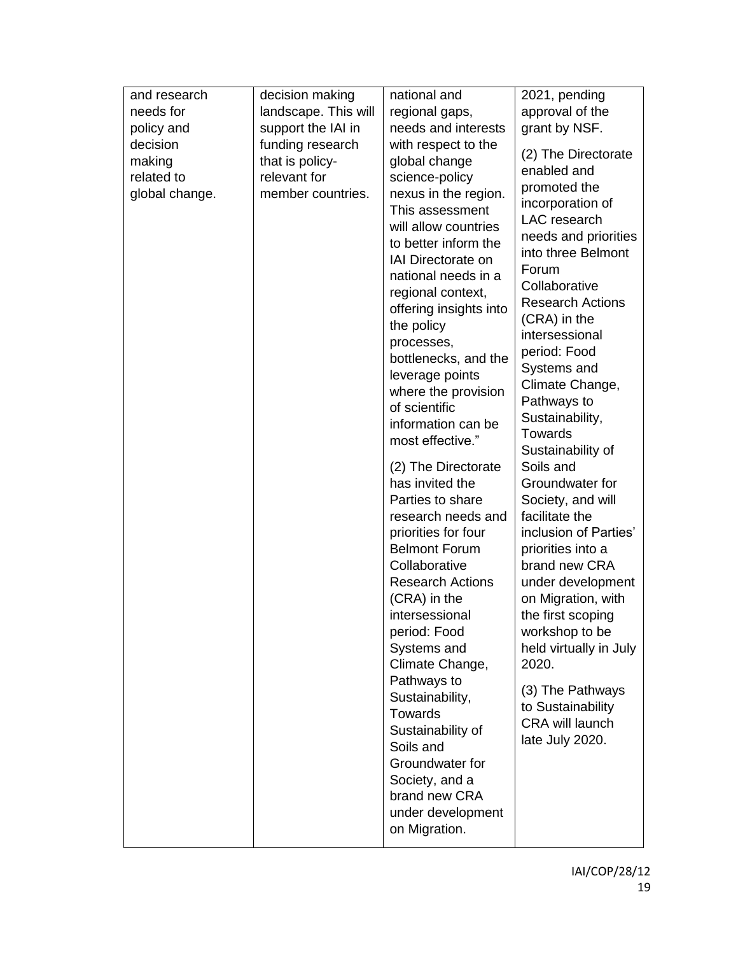| and research   | decision making      | national and            | 2021, pending                              |
|----------------|----------------------|-------------------------|--------------------------------------------|
| needs for      | landscape. This will | regional gaps,          | approval of the                            |
| policy and     | support the IAI in   | needs and interests     | grant by NSF.                              |
| decision       | funding research     | with respect to the     |                                            |
| making         | that is policy-      | global change           | (2) The Directorate                        |
| related to     | relevant for         | science-policy          | enabled and                                |
| global change. | member countries.    | nexus in the region.    | promoted the                               |
|                |                      | This assessment         | incorporation of<br>LAC research           |
|                |                      | will allow countries    |                                            |
|                |                      | to better inform the    | needs and priorities<br>into three Belmont |
|                |                      | IAI Directorate on      | Forum                                      |
|                |                      | national needs in a     | Collaborative                              |
|                |                      | regional context,       | <b>Research Actions</b>                    |
|                |                      | offering insights into  | (CRA) in the                               |
|                |                      | the policy              | intersessional                             |
|                |                      | processes,              | period: Food                               |
|                |                      | bottlenecks, and the    | Systems and                                |
|                |                      | leverage points         | Climate Change,                            |
|                |                      | where the provision     | Pathways to                                |
|                |                      | of scientific           | Sustainability,                            |
|                |                      | information can be      | <b>Towards</b>                             |
|                |                      | most effective."        | Sustainability of                          |
|                |                      | (2) The Directorate     | Soils and                                  |
|                |                      | has invited the         | Groundwater for                            |
|                |                      | Parties to share        | Society, and will                          |
|                |                      | research needs and      | facilitate the                             |
|                |                      | priorities for four     | inclusion of Parties'                      |
|                |                      | <b>Belmont Forum</b>    | priorities into a                          |
|                |                      | Collaborative           | brand new CRA                              |
|                |                      | <b>Research Actions</b> | under development                          |
|                |                      | (CRA) in the            | on Migration, with                         |
|                |                      | intersessional          | the first scoping                          |
|                |                      | period: Food            | workshop to be                             |
|                |                      | Systems and             | held virtually in July                     |
|                |                      | Climate Change,         | 2020.                                      |
|                |                      | Pathways to             | (3) The Pathways                           |
|                |                      | Sustainability,         | to Sustainability                          |
|                |                      | <b>Towards</b>          | <b>CRA will launch</b>                     |
|                |                      | Sustainability of       | late July 2020.                            |
|                |                      | Soils and               |                                            |
|                |                      | Groundwater for         |                                            |
|                |                      | Society, and a          |                                            |
|                |                      | brand new CRA           |                                            |
|                |                      | under development       |                                            |
|                |                      | on Migration.           |                                            |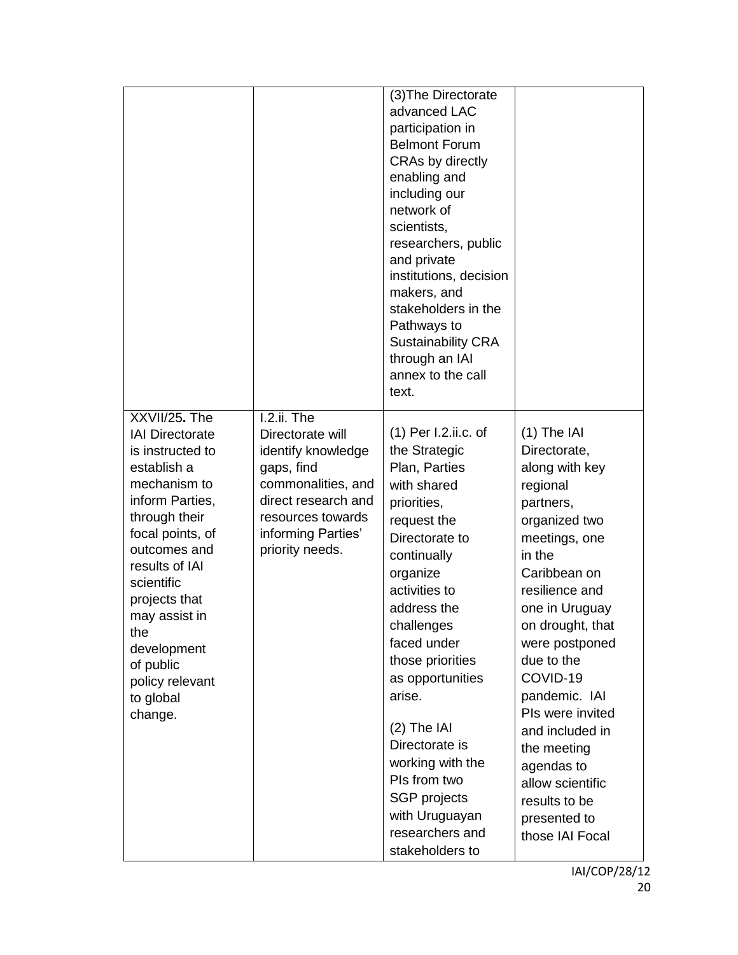|                                                                                                                                                                                                                                                                                                                    |                                                                                                                                                                                | (3) The Directorate<br>advanced LAC<br>participation in<br><b>Belmont Forum</b><br>CRAs by directly<br>enabling and<br>including our<br>network of<br>scientists,<br>researchers, public<br>and private<br>institutions, decision<br>makers, and<br>stakeholders in the<br>Pathways to<br><b>Sustainability CRA</b><br>through an IAI<br>annex to the call<br>text.                                                     |                                                                                                                                                                                                                                                                                                                                                                                                       |
|--------------------------------------------------------------------------------------------------------------------------------------------------------------------------------------------------------------------------------------------------------------------------------------------------------------------|--------------------------------------------------------------------------------------------------------------------------------------------------------------------------------|-------------------------------------------------------------------------------------------------------------------------------------------------------------------------------------------------------------------------------------------------------------------------------------------------------------------------------------------------------------------------------------------------------------------------|-------------------------------------------------------------------------------------------------------------------------------------------------------------------------------------------------------------------------------------------------------------------------------------------------------------------------------------------------------------------------------------------------------|
| XXVII/25. The<br><b>IAI Directorate</b><br>is instructed to<br>establish a<br>mechanism to<br>inform Parties,<br>through their<br>focal points, of<br>outcomes and<br>results of IAI<br>scientific<br>projects that<br>may assist in<br>the<br>development<br>of public<br>policy relevant<br>to global<br>change. | I.2.ii. The<br>Directorate will<br>identify knowledge<br>gaps, find<br>commonalities, and<br>direct research and<br>resources towards<br>informing Parties'<br>priority needs. | $(1)$ Per I.2.ii.c. of<br>the Strategic<br>Plan, Parties<br>with shared<br>priorities,<br>request the<br>Directorate to<br>continually<br>organize<br>activities to<br>address the<br>challenges<br>faced under<br>those priorities<br>as opportunities<br>arise.<br>$(2)$ The IAI<br>Directorate is<br>working with the<br>Pls from two<br><b>SGP</b> projects<br>with Uruguayan<br>researchers and<br>stakeholders to | $(1)$ The IAI<br>Directorate,<br>along with key<br>regional<br>partners,<br>organized two<br>meetings, one<br>in the<br>Caribbean on<br>resilience and<br>one in Uruguay<br>on drought, that<br>were postponed<br>due to the<br>COVID-19<br>pandemic. IAI<br>PIs were invited<br>and included in<br>the meeting<br>agendas to<br>allow scientific<br>results to be<br>presented to<br>those IAI Focal |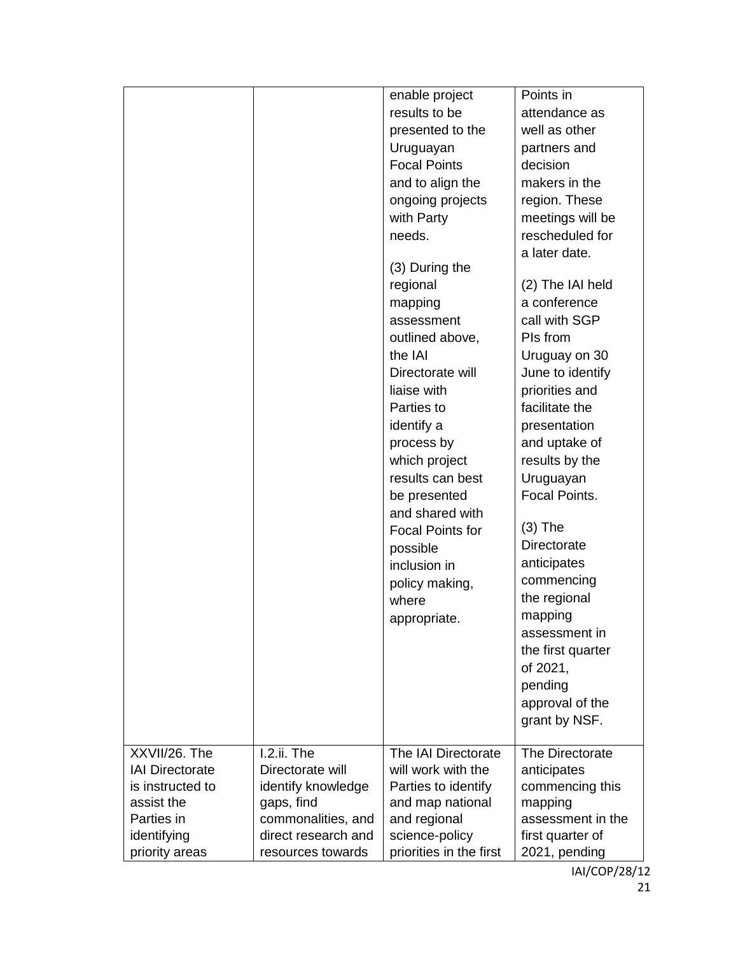|                        |                     | enable project          | Points in         |
|------------------------|---------------------|-------------------------|-------------------|
|                        |                     | results to be           | attendance as     |
|                        |                     | presented to the        | well as other     |
|                        |                     | Uruguayan               | partners and      |
|                        |                     | <b>Focal Points</b>     | decision          |
|                        |                     | and to align the        | makers in the     |
|                        |                     | ongoing projects        | region. These     |
|                        |                     | with Party              | meetings will be  |
|                        |                     | needs.                  | rescheduled for   |
|                        |                     |                         | a later date.     |
|                        |                     | (3) During the          |                   |
|                        |                     | regional                | (2) The IAI held  |
|                        |                     | mapping                 | a conference      |
|                        |                     | assessment              | call with SGP     |
|                        |                     | outlined above,         | PIs from          |
|                        |                     | the IAI                 | Uruguay on 30     |
|                        |                     | Directorate will        | June to identify  |
|                        |                     | liaise with             | priorities and    |
|                        |                     | Parties to              | facilitate the    |
|                        |                     | identify a              | presentation      |
|                        |                     | process by              | and uptake of     |
|                        |                     | which project           | results by the    |
|                        |                     | results can best        | Uruguayan         |
|                        |                     | be presented            | Focal Points.     |
|                        |                     | and shared with         |                   |
|                        |                     | <b>Focal Points for</b> | $(3)$ The         |
|                        |                     | possible                | Directorate       |
|                        |                     | inclusion in            | anticipates       |
|                        |                     | policy making,          | commencing        |
|                        |                     | where                   | the regional      |
|                        |                     | appropriate.            | mapping           |
|                        |                     |                         | assessment in     |
|                        |                     |                         | the first quarter |
|                        |                     |                         | of 2021,          |
|                        |                     |                         | pending           |
|                        |                     |                         | approval of the   |
|                        |                     |                         | grant by NSF.     |
|                        |                     |                         |                   |
| XXVII/26. The          | I.2.ii. The         | The IAI Directorate     | The Directorate   |
| <b>IAI Directorate</b> | Directorate will    | will work with the      | anticipates       |
| is instructed to       | identify knowledge  | Parties to identify     | commencing this   |
| assist the             | gaps, find          | and map national        | mapping           |
| Parties in             | commonalities, and  | and regional            | assessment in the |
| identifying            | direct research and | science-policy          | first quarter of  |
| priority areas         | resources towards   | priorities in the first | 2021, pending     |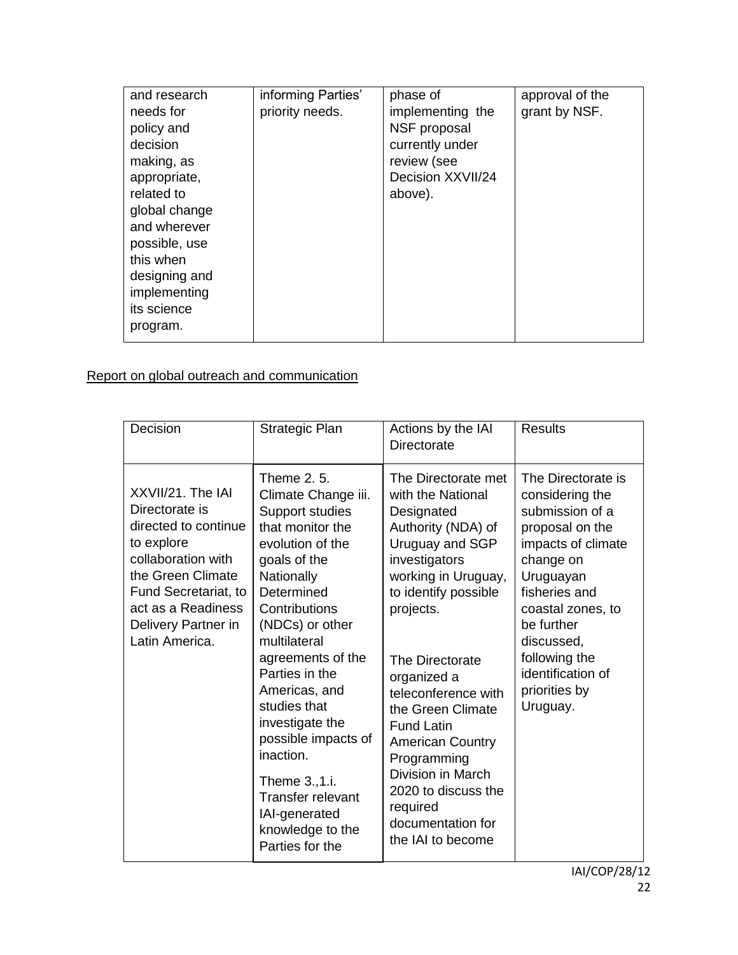| and research<br>needs for<br>policy and<br>decision<br>making, as<br>appropriate,<br>related to<br>global change<br>and wherever<br>possible, use<br>this when<br>designing and<br>implementing<br>its science<br>program. | informing Parties'<br>priority needs. | phase of<br>implementing the<br>NSF proposal<br>currently under<br>review (see<br>Decision XXVII/24<br>above). | approval of the<br>grant by NSF. |
|----------------------------------------------------------------------------------------------------------------------------------------------------------------------------------------------------------------------------|---------------------------------------|----------------------------------------------------------------------------------------------------------------|----------------------------------|
|----------------------------------------------------------------------------------------------------------------------------------------------------------------------------------------------------------------------------|---------------------------------------|----------------------------------------------------------------------------------------------------------------|----------------------------------|

Report on global outreach and communication

| Decision                                                                                                                                                                                                    | Strategic Plan                                                                                                                                                                                                                                                                                                                                                                                                                     | Actions by the IAI<br><b>Directorate</b>                                                                                                                                                                                                                                                                                                                                                                                    | <b>Results</b>                                                                                                                                                                                                                                                   |
|-------------------------------------------------------------------------------------------------------------------------------------------------------------------------------------------------------------|------------------------------------------------------------------------------------------------------------------------------------------------------------------------------------------------------------------------------------------------------------------------------------------------------------------------------------------------------------------------------------------------------------------------------------|-----------------------------------------------------------------------------------------------------------------------------------------------------------------------------------------------------------------------------------------------------------------------------------------------------------------------------------------------------------------------------------------------------------------------------|------------------------------------------------------------------------------------------------------------------------------------------------------------------------------------------------------------------------------------------------------------------|
| XXVII/21. The IAI<br>Directorate is<br>directed to continue<br>to explore<br>collaboration with<br>the Green Climate<br>Fund Secretariat, to<br>act as a Readiness<br>Delivery Partner in<br>Latin America. | Theme 2, 5,<br>Climate Change iii.<br>Support studies<br>that monitor the<br>evolution of the<br>goals of the<br>Nationally<br>Determined<br>Contributions<br>(NDCs) or other<br>multilateral<br>agreements of the<br>Parties in the<br>Americas, and<br>studies that<br>investigate the<br>possible impacts of<br>inaction.<br>Theme 3., 1.i.<br><b>Transfer relevant</b><br>IAI-generated<br>knowledge to the<br>Parties for the | The Directorate met<br>with the National<br>Designated<br>Authority (NDA) of<br>Uruguay and SGP<br>investigators<br>working in Uruguay,<br>to identify possible<br>projects.<br>The Directorate<br>organized a<br>teleconference with<br>the Green Climate<br><b>Fund Latin</b><br><b>American Country</b><br>Programming<br>Division in March<br>2020 to discuss the<br>required<br>documentation for<br>the IAI to become | The Directorate is<br>considering the<br>submission of a<br>proposal on the<br>impacts of climate<br>change on<br>Uruguayan<br>fisheries and<br>coastal zones, to<br>be further<br>discussed,<br>following the<br>identification of<br>priorities by<br>Uruguay. |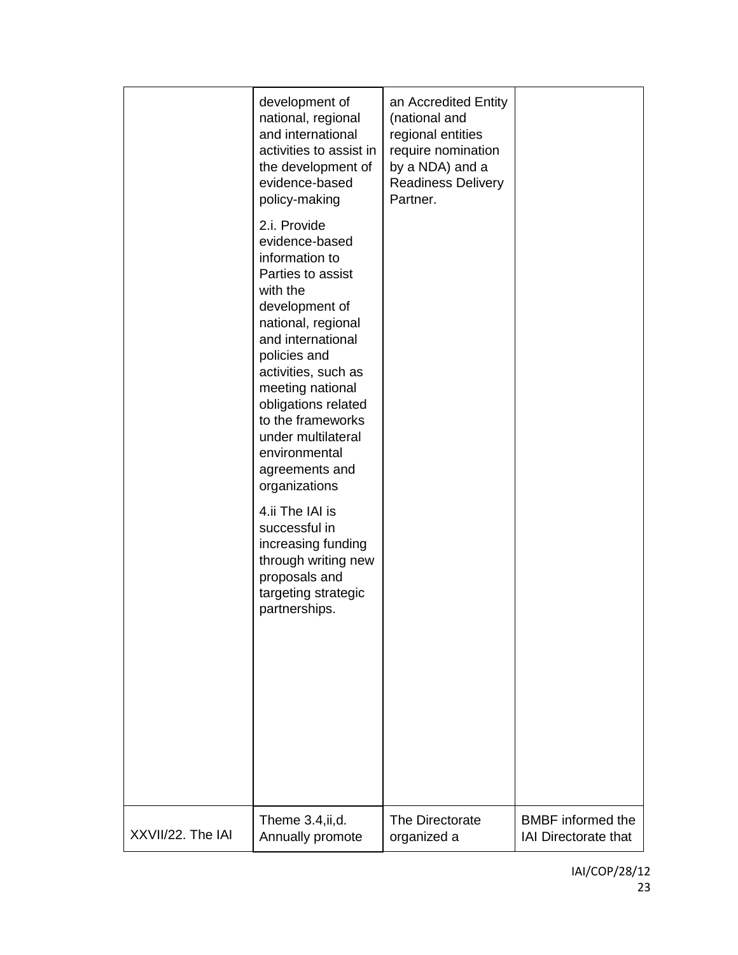|                   | development of<br>national, regional<br>and international<br>activities to assist in<br>the development of<br>evidence-based<br>policy-making<br>2.i. Provide<br>evidence-based<br>information to<br>Parties to assist<br>with the<br>development of<br>national, regional<br>and international<br>policies and<br>activities, such as<br>meeting national<br>obligations related<br>to the frameworks<br>under multilateral<br>environmental<br>agreements and<br>organizations<br>4.ii The IAI is<br>successful in<br>increasing funding<br>through writing new<br>proposals and<br>targeting strategic<br>partnerships. | an Accredited Entity<br>(national and<br>regional entities<br>require nomination<br>by a NDA) and a<br><b>Readiness Delivery</b><br>Partner. |                             |
|-------------------|----------------------------------------------------------------------------------------------------------------------------------------------------------------------------------------------------------------------------------------------------------------------------------------------------------------------------------------------------------------------------------------------------------------------------------------------------------------------------------------------------------------------------------------------------------------------------------------------------------------------------|----------------------------------------------------------------------------------------------------------------------------------------------|-----------------------------|
| XXVII/22. The IAI | Theme 3.4, ii, d.                                                                                                                                                                                                                                                                                                                                                                                                                                                                                                                                                                                                          | The Directorate                                                                                                                              | <b>BMBF</b> informed the    |
|                   | Annually promote                                                                                                                                                                                                                                                                                                                                                                                                                                                                                                                                                                                                           | organized a                                                                                                                                  | <b>IAI Directorate that</b> |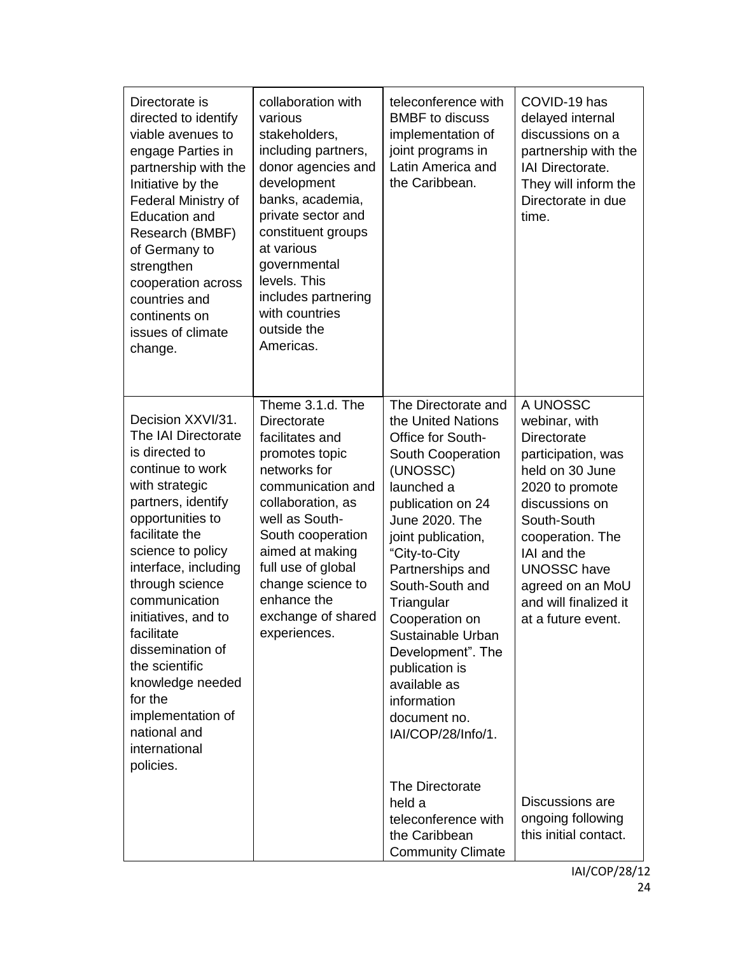| Directorate is<br>directed to identify<br>viable avenues to<br>engage Parties in<br>partnership with the<br>Initiative by the<br>Federal Ministry of<br>Education and<br>Research (BMBF)<br>of Germany to<br>strengthen<br>cooperation across<br>countries and<br>continents on<br>issues of climate<br>change.                                                                                                            | collaboration with<br>various<br>stakeholders,<br>including partners,<br>donor agencies and<br>development<br>banks, academia,<br>private sector and<br>constituent groups<br>at various<br>governmental<br>levels. This<br>includes partnering<br>with countries<br>outside the<br>Americas. | teleconference with<br><b>BMBF</b> to discuss<br>implementation of<br>joint programs in<br>Latin America and<br>the Caribbean.                                                                                                                                                                                                                                                                                                   | COVID-19 has<br>delayed internal<br>discussions on a<br>partnership with the<br>IAI Directorate.<br>They will inform the<br>Directorate in due<br>time.                                                                                                                                     |
|----------------------------------------------------------------------------------------------------------------------------------------------------------------------------------------------------------------------------------------------------------------------------------------------------------------------------------------------------------------------------------------------------------------------------|-----------------------------------------------------------------------------------------------------------------------------------------------------------------------------------------------------------------------------------------------------------------------------------------------|----------------------------------------------------------------------------------------------------------------------------------------------------------------------------------------------------------------------------------------------------------------------------------------------------------------------------------------------------------------------------------------------------------------------------------|---------------------------------------------------------------------------------------------------------------------------------------------------------------------------------------------------------------------------------------------------------------------------------------------|
| Decision XXVI/31.<br>The IAI Directorate<br>is directed to<br>continue to work<br>with strategic<br>partners, identify<br>opportunities to<br>facilitate the<br>science to policy<br>interface, including<br>through science<br>communication<br>initiatives, and to<br>facilitate<br>dissemination of<br>the scientific<br>knowledge needed<br>for the<br>implementation of<br>national and<br>international<br>policies. | Theme 3.1.d. The<br>Directorate<br>facilitates and<br>promotes topic<br>networks for<br>communication and<br>collaboration, as<br>well as South-<br>South cooperation<br>aimed at making<br>full use of global<br>change science to<br>enhance the<br>exchange of shared<br>experiences.      | The Directorate and<br>the United Nations<br>Office for South-<br>South Cooperation<br>(UNOSSC)<br>launched a<br>publication on 24<br>June 2020. The<br>joint publication,<br>"City-to-City<br>Partnerships and<br>South-South and<br>Triangular<br>Cooperation on<br>Sustainable Urban<br>Development". The<br>publication is<br>available as<br>information<br>document no.<br>IAI/COP/28/Info/1.<br>The Directorate<br>held a | A UNOSSC<br>webinar, with<br><b>Directorate</b><br>participation, was<br>held on 30 June<br>2020 to promote<br>discussions on<br>South-South<br>cooperation. The<br>IAI and the<br><b>UNOSSC</b> have<br>agreed on an MoU<br>and will finalized it<br>at a future event.<br>Discussions are |
|                                                                                                                                                                                                                                                                                                                                                                                                                            |                                                                                                                                                                                                                                                                                               | teleconference with<br>the Caribbean<br><b>Community Climate</b>                                                                                                                                                                                                                                                                                                                                                                 | ongoing following<br>this initial contact.                                                                                                                                                                                                                                                  |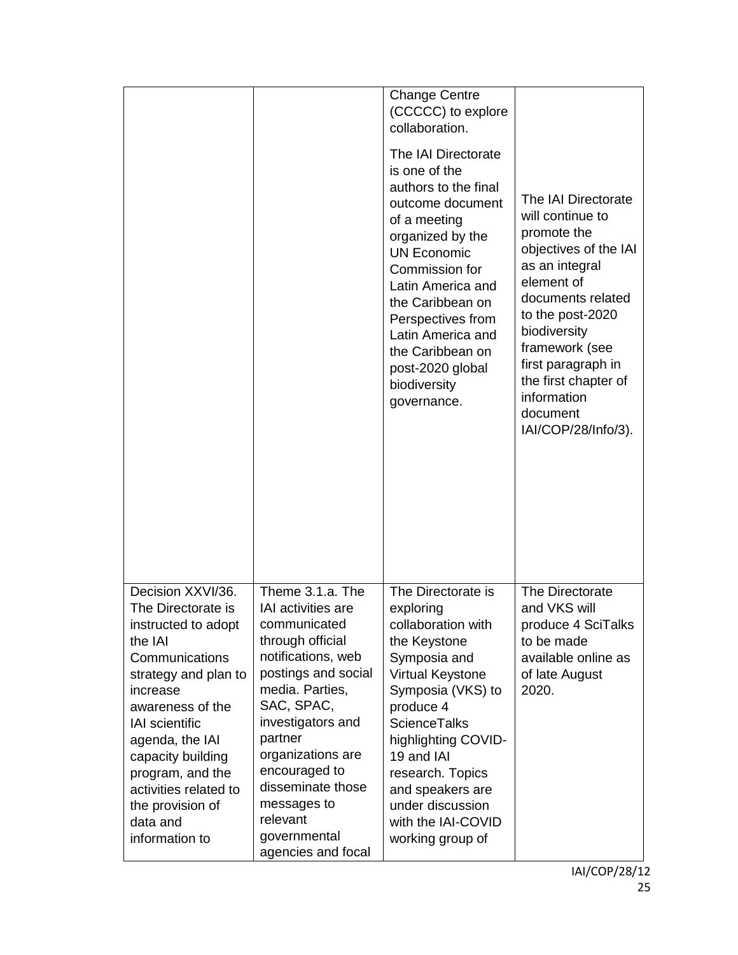|                                                                                                                                                                                                                                                                                                                     |                                                                                                                                                                                                                                                                                                                      | <b>Change Centre</b><br>(CCCCC) to explore<br>collaboration.<br>The IAI Directorate<br>is one of the<br>authors to the final<br>outcome document<br>of a meeting<br>organized by the<br><b>UN Economic</b><br>Commission for<br>Latin America and<br>the Caribbean on<br>Perspectives from<br>Latin America and<br>the Caribbean on<br>post-2020 global<br>biodiversity<br>governance. | The IAI Directorate<br>will continue to<br>promote the<br>objectives of the IAI<br>as an integral<br>element of<br>documents related<br>to the post-2020<br>biodiversity<br>framework (see<br>first paragraph in<br>the first chapter of<br>information<br>document<br>IAI/COP/28/Info/3). |
|---------------------------------------------------------------------------------------------------------------------------------------------------------------------------------------------------------------------------------------------------------------------------------------------------------------------|----------------------------------------------------------------------------------------------------------------------------------------------------------------------------------------------------------------------------------------------------------------------------------------------------------------------|----------------------------------------------------------------------------------------------------------------------------------------------------------------------------------------------------------------------------------------------------------------------------------------------------------------------------------------------------------------------------------------|--------------------------------------------------------------------------------------------------------------------------------------------------------------------------------------------------------------------------------------------------------------------------------------------|
| Decision XXVI/36.<br>The Directorate is<br>instructed to adopt<br>the IAI<br>Communications<br>strategy and plan to<br>increase<br>awareness of the<br><b>IAI</b> scientific<br>agenda, the IAI<br>capacity building<br>program, and the<br>activities related to<br>the provision of<br>data and<br>information to | Theme 3.1.a. The<br>IAI activities are<br>communicated<br>through official<br>notifications, web<br>postings and social<br>media. Parties,<br>SAC, SPAC,<br>investigators and<br>partner<br>organizations are<br>encouraged to<br>disseminate those<br>messages to<br>relevant<br>governmental<br>agencies and focal | The Directorate is<br>exploring<br>collaboration with<br>the Keystone<br>Symposia and<br>Virtual Keystone<br>Symposia (VKS) to<br>produce 4<br><b>ScienceTalks</b><br>highlighting COVID-<br>19 and IAI<br>research. Topics<br>and speakers are<br>under discussion<br>with the IAI-COVID<br>working group of                                                                          | The Directorate<br>and VKS will<br>produce 4 SciTalks<br>to be made<br>available online as<br>of late August<br>2020.                                                                                                                                                                      |

IAI/COP/28/12 25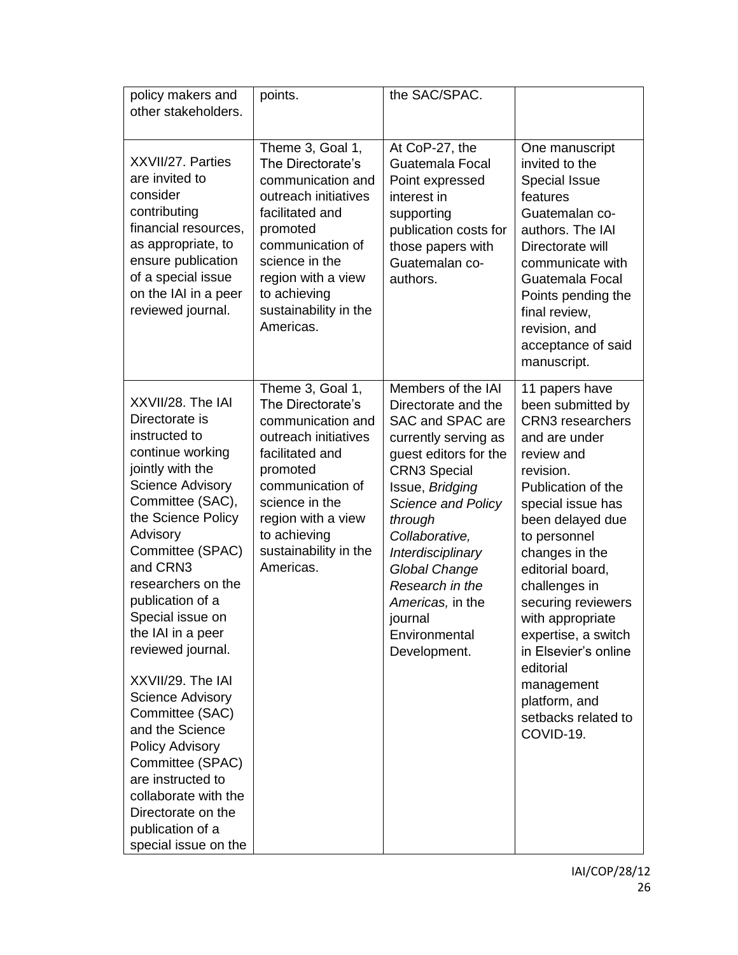| policy makers and<br>other stakeholders.                                                                                                                                                                                                                                                                                                                                                                                                                                                                                                                                 | points.                                                                                                                                                                                                                             | the SAC/SPAC.                                                                                                                                                                                                                                                                                                                                      |                                                                                                                                                                                                                                                                                                                                                                                                                           |
|--------------------------------------------------------------------------------------------------------------------------------------------------------------------------------------------------------------------------------------------------------------------------------------------------------------------------------------------------------------------------------------------------------------------------------------------------------------------------------------------------------------------------------------------------------------------------|-------------------------------------------------------------------------------------------------------------------------------------------------------------------------------------------------------------------------------------|----------------------------------------------------------------------------------------------------------------------------------------------------------------------------------------------------------------------------------------------------------------------------------------------------------------------------------------------------|---------------------------------------------------------------------------------------------------------------------------------------------------------------------------------------------------------------------------------------------------------------------------------------------------------------------------------------------------------------------------------------------------------------------------|
| XXVII/27. Parties<br>are invited to<br>consider<br>contributing<br>financial resources,<br>as appropriate, to<br>ensure publication<br>of a special issue<br>on the IAI in a peer<br>reviewed journal.                                                                                                                                                                                                                                                                                                                                                                   | Theme 3, Goal 1,<br>The Directorate's<br>communication and<br>outreach initiatives<br>facilitated and<br>promoted<br>communication of<br>science in the<br>region with a view<br>to achieving<br>sustainability in the<br>Americas. | At CoP-27, the<br>Guatemala Focal<br>Point expressed<br>interest in<br>supporting<br>publication costs for<br>those papers with<br>Guatemalan co-<br>authors.                                                                                                                                                                                      | One manuscript<br>invited to the<br><b>Special Issue</b><br>features<br>Guatemalan co-<br>authors. The IAI<br>Directorate will<br>communicate with<br>Guatemala Focal<br>Points pending the<br>final review,<br>revision, and<br>acceptance of said<br>manuscript.                                                                                                                                                        |
| XXVII/28. The IAI<br>Directorate is<br>instructed to<br>continue working<br>jointly with the<br><b>Science Advisory</b><br>Committee (SAC),<br>the Science Policy<br>Advisory<br>Committee (SPAC)<br>and CRN3<br>researchers on the<br>publication of a<br>Special issue on<br>the IAI in a peer<br>reviewed journal.<br>XXVII/29. The IAI<br><b>Science Advisory</b><br>Committee (SAC)<br>and the Science<br><b>Policy Advisory</b><br>Committee (SPAC)<br>are instructed to<br>collaborate with the<br>Directorate on the<br>publication of a<br>special issue on the | Theme 3, Goal 1,<br>The Directorate's<br>communication and<br>outreach initiatives<br>facilitated and<br>promoted<br>communication of<br>science in the<br>region with a view<br>to achieving<br>sustainability in the<br>Americas. | Members of the IAI<br>Directorate and the<br>SAC and SPAC are<br>currently serving as<br>guest editors for the<br><b>CRN3 Special</b><br>Issue, Bridging<br><b>Science and Policy</b><br>through<br>Collaborative,<br>Interdisciplinary<br><b>Global Change</b><br>Research in the<br>Americas, in the<br>journal<br>Environmental<br>Development. | 11 papers have<br>been submitted by<br><b>CRN3</b> researchers<br>and are under<br>review and<br>revision.<br>Publication of the<br>special issue has<br>been delayed due<br>to personnel<br>changes in the<br>editorial board,<br>challenges in<br>securing reviewers<br>with appropriate<br>expertise, a switch<br>in Elsevier's online<br>editorial<br>management<br>platform, and<br>setbacks related to<br>COVID-19. |